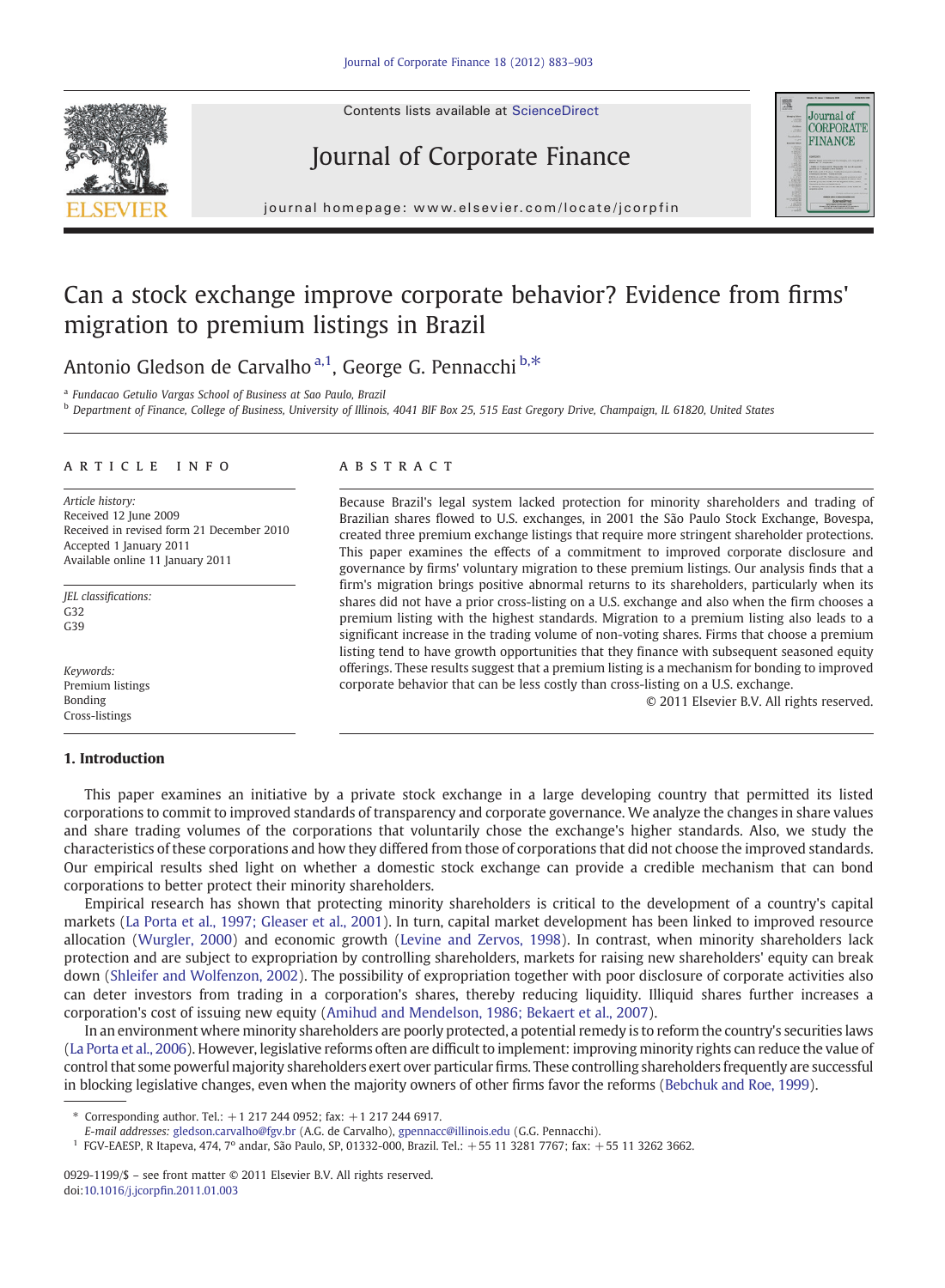Contents lists available at ScienceDirect

# Journal of Corporate Finance



j o u r n a g e  $\mathbf{r}$  ev i e r. c om  $\mathbf{r}$  i n  $\mathbf{r}$  i n  $\mathbf{r}$  i n  $\mathbf{r}$ 

# Can a stock exchange improve corporate behavior? Evidence from firms' migration to premium listings in Brazil

Antonio Gledson de Carvalho  $a,1$ , George G. Pennacchi  $b.*$ 

<sup>a</sup> Fundacao Getulio Vargas School of Business at Sao Paulo, Brazil

**b** Department of Finance, College of Business, University of Illinois, 4041 BIF Box 25, 515 East Gregory Drive, Champaign, IL 61820, United States

#### article info abstract

Article history: Received 12 June 2009 Received in revised form 21 December 2010 Accepted 1 January 2011 Available online 11 January 2011

JEL classifications: G32 G39

Keywords: Premium listings Bonding Cross-listings

#### 1. Introduction

Because Brazil's legal system lacked protection for minority shareholders and trading of Brazilian shares flowed to U.S. exchanges, in 2001 the São Paulo Stock Exchange, Bovespa, created three premium exchange listings that require more stringent shareholder protections. This paper examines the effects of a commitment to improved corporate disclosure and governance by firms' voluntary migration to these premium listings. Our analysis finds that a firm's migration brings positive abnormal returns to its shareholders, particularly when its shares did not have a prior cross-listing on a U.S. exchange and also when the firm chooses a premium listing with the highest standards. Migration to a premium listing also leads to a significant increase in the trading volume of non-voting shares. Firms that choose a premium listing tend to have growth opportunities that they finance with subsequent seasoned equity offerings. These results suggest that a premium listing is a mechanism for bonding to improved corporate behavior that can be less costly than cross-listing on a U.S. exchange.

© 2011 Elsevier B.V. All rights reserved.

This paper examines an initiative by a private stock exchange in a large developing country that permitted its listed corporations to commit to improved standards of transparency and corporate governance. We analyze the changes in share values and share trading volumes of the corporations that voluntarily chose the exchange's higher standards. Also, we study the characteristics of these corporations and how they differed from those of corporations that did not choose the improved standards. Our empirical results shed light on whether a domestic stock exchange can provide a credible mechanism that can bond corporations to better protect their minority shareholders.

Empirical research has shown that protecting minority shareholders is critical to the development of a country's capital markets [\(La Porta et al., 1997; Gleaser et al., 2001](#page-20-0)). In turn, capital market development has been linked to improved resource allocation ([Wurgler, 2000\)](#page-20-0) and economic growth ([Levine and Zervos, 1998](#page-20-0)). In contrast, when minority shareholders lack protection and are subject to expropriation by controlling shareholders, markets for raising new shareholders' equity can break down ([Shleifer and Wolfenzon, 2002\)](#page-20-0). The possibility of expropriation together with poor disclosure of corporate activities also can deter investors from trading in a corporation's shares, thereby reducing liquidity. Illiquid shares further increases a corporation's cost of issuing new equity [\(Amihud and Mendelson, 1986; Bekaert et al., 2007](#page-19-0)).

In an environment where minority shareholders are poorly protected, a potential remedy is to reform the country's securities laws [\(La Porta et al., 2006](#page-20-0)). However, legislative reforms often are difficult to implement: improving minority rights can reduce the value of control that some powerful majority shareholders exert over particular firms. These controlling shareholders frequently are successful in blocking legislative changes, even when the majority owners of other firms favor the reforms [\(Bebchuk and Roe, 1999](#page-19-0)).

E-mail addresses: [gledson.carvalho@fgv.br](mailto:gledson.carvalho@fgv.br) (A.G. de Carvalho), [gpennacc@illinois.edu](mailto:gpennacc@illinois.edu) (G.G. Pennacchi).

<sup>1</sup> FGV-EAESP, R Itapeva, 474, 7o andar, São Paulo, SP, 01332-000, Brazil. Tel.: +55 11 3281 7767; fax: +55 11 3262 3662.

<sup>⁎</sup> Corresponding author. Tel.: +1 217 244 0952; fax: +1 217 244 6917.

<sup>0929-1199/\$</sup> – see front matter © 2011 Elsevier B.V. All rights reserved. doi[:10.1016/j.jcorp](http://dx.doi.org/10.1016/j.jcorpfin.2011.01.003)fin.2011.01.003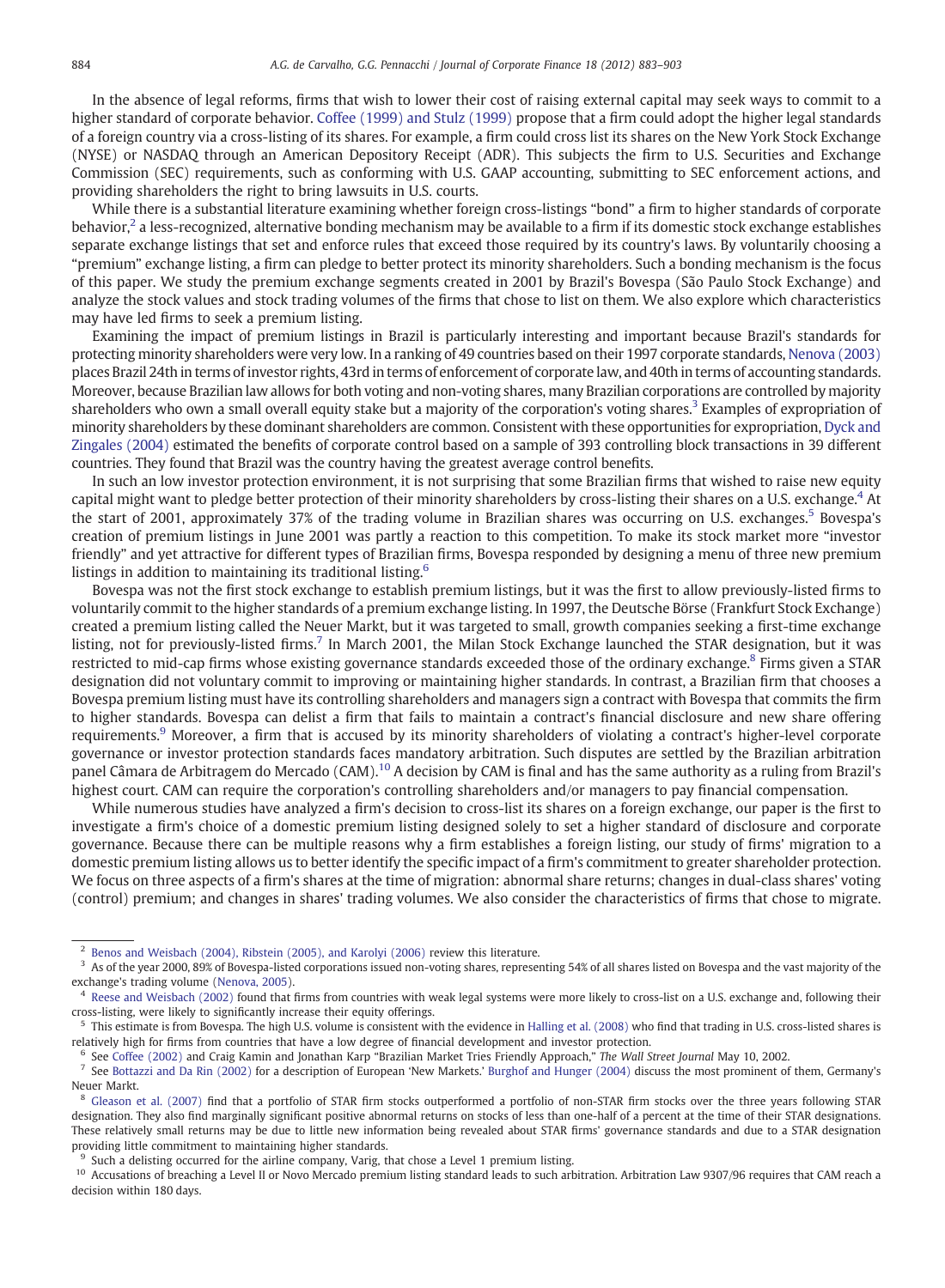In the absence of legal reforms, firms that wish to lower their cost of raising external capital may seek ways to commit to a higher standard of corporate behavior. [Coffee \(1999\) and Stulz \(1999\)](#page-19-0) propose that a firm could adopt the higher legal standards of a foreign country via a cross-listing of its shares. For example, a firm could cross list its shares on the New York Stock Exchange (NYSE) or NASDAQ through an American Depository Receipt (ADR). This subjects the firm to U.S. Securities and Exchange Commission (SEC) requirements, such as conforming with U.S. GAAP accounting, submitting to SEC enforcement actions, and providing shareholders the right to bring lawsuits in U.S. courts.

While there is a substantial literature examining whether foreign cross-listings "bond" a firm to higher standards of corporate behavior,<sup>2</sup> a less-recognized, alternative bonding mechanism may be available to a firm if its domestic stock exchange establishes separate exchange listings that set and enforce rules that exceed those required by its country's laws. By voluntarily choosing a "premium" exchange listing, a firm can pledge to better protect its minority shareholders. Such a bonding mechanism is the focus of this paper. We study the premium exchange segments created in 2001 by Brazil's Bovespa (São Paulo Stock Exchange) and analyze the stock values and stock trading volumes of the firms that chose to list on them. We also explore which characteristics may have led firms to seek a premium listing.

Examining the impact of premium listings in Brazil is particularly interesting and important because Brazil's standards for protecting minority shareholders were very low. In a ranking of 49 countries based on their 1997 corporate standards, [Nenova \(2003\)](#page-20-0) places Brazil 24th in terms of investor rights, 43rd in terms of enforcement of corporate law, and 40th in terms of accounting standards. Moreover, because Brazilian law allows for both voting and non-voting shares, many Brazilian corporations are controlled by majority shareholders who own a small overall equity stake but a majority of the corporation's voting shares.<sup>3</sup> Examples of expropriation of minority shareholders by these dominant shareholders are common. Consistent with these opportunities for expropriation, [Dyck and](#page-19-0) [Zingales \(2004\)](#page-19-0) estimated the benefits of corporate control based on a sample of 393 controlling block transactions in 39 different countries. They found that Brazil was the country having the greatest average control benefits.

In such an low investor protection environment, it is not surprising that some Brazilian firms that wished to raise new equity capital might want to pledge better protection of their minority shareholders by cross-listing their shares on a U.S. exchange.<sup>4</sup> At the start of 2001, approximately 37% of the trading volume in Brazilian shares was occurring on U.S. exchanges.<sup>5</sup> Bovespa's creation of premium listings in June 2001 was partly a reaction to this competition. To make its stock market more "investor friendly" and yet attractive for different types of Brazilian firms, Bovespa responded by designing a menu of three new premium listings in addition to maintaining its traditional listing.<sup>6</sup>

Bovespa was not the first stock exchange to establish premium listings, but it was the first to allow previously-listed firms to voluntarily commit to the higher standards of a premium exchange listing. In 1997, the Deutsche Börse (Frankfurt Stock Exchange) created a premium listing called the Neuer Markt, but it was targeted to small, growth companies seeking a first-time exchange listing, not for previously-listed firms.<sup>7</sup> In March 2001, the Milan Stock Exchange launched the STAR designation, but it was restricted to mid-cap firms whose existing governance standards exceeded those of the ordinary exchange.<sup>8</sup> Firms given a STAR designation did not voluntary commit to improving or maintaining higher standards. In contrast, a Brazilian firm that chooses a Bovespa premium listing must have its controlling shareholders and managers sign a contract with Bovespa that commits the firm to higher standards. Bovespa can delist a firm that fails to maintain a contract's financial disclosure and new share offering requirements.<sup>9</sup> Moreover, a firm that is accused by its minority shareholders of violating a contract's higher-level corporate governance or investor protection standards faces mandatory arbitration. Such disputes are settled by the Brazilian arbitration panel Câmara de Arbitragem do Mercado (CAM).<sup>10</sup> A decision by CAM is final and has the same authority as a ruling from Brazil's highest court. CAM can require the corporation's controlling shareholders and/or managers to pay financial compensation.

While numerous studies have analyzed a firm's decision to cross-list its shares on a foreign exchange, our paper is the first to investigate a firm's choice of a domestic premium listing designed solely to set a higher standard of disclosure and corporate governance. Because there can be multiple reasons why a firm establishes a foreign listing, our study of firms' migration to a domestic premium listing allows us to better identify the specific impact of a firm's commitment to greater shareholder protection. We focus on three aspects of a firm's shares at the time of migration: abnormal share returns; changes in dual-class shares' voting (control) premium; and changes in shares' trading volumes. We also consider the characteristics of firms that chose to migrate.

<sup>2</sup> [Benos and Weisbach \(2004\), Ribstein \(2005\), and Karolyi \(2006\)](#page-19-0) review this literature.

<sup>&</sup>lt;sup>3</sup> As of the year 2000, 89% of Bovespa-listed corporations issued non-voting shares, representing 54% of all shares listed on Bovespa and the vast majority of the exchange's trading volume [\(Nenova, 2005\)](#page-20-0).

<sup>&</sup>lt;sup>4</sup> [Reese and Weisbach \(2002\)](#page-20-0) found that firms from countries with weak legal systems were more likely to cross-list on a U.S. exchange and, following their cross-listing, were likely to significantly increase their equity offerings.

<sup>&</sup>lt;sup>5</sup> This estimate is from Bovespa. The high U.S. volume is consistent with the evidence in [Halling et al. \(2008\)](#page-20-0) who find that trading in U.S. cross-listed shares is relatively high for firms from countries that have a low degree of financial development and investor protection.

 $6$  See [Coffee \(2002\)](#page-19-0) and Craig Kamin and Jonathan Karp "Brazilian Market Tries Friendly Approach." The Wall Street Journal May 10, 2002.

 $^7$  See [Bottazzi and Da Rin \(2002\)](#page-19-0) for a description of European 'New Markets.' [Burghof and Hunger \(2004\)](#page-19-0) discuss the most prominent of them, Germany's Neuer Markt.

<sup>&</sup>lt;sup>8</sup> [Gleason et al. \(2007\)](#page-20-0) find that a portfolio of STAR firm stocks outperformed a portfolio of non-STAR firm stocks over the three years following STAR designation. They also find marginally significant positive abnormal returns on stocks of less than one-half of a percent at the time of their STAR designations. These relatively small returns may be due to little new information being revealed about STAR firms' governance standards and due to a STAR designation providing little commitment to maintaining higher standards.

 $9\,$  Such a delisting occurred for the airline company. Varig, that chose a Level 1 premium listing.

<sup>&</sup>lt;sup>10</sup> Accusations of breaching a Level II or Novo Mercado premium listing standard leads to such arbitration. Arbitration Law 9307/96 requires that CAM reach a decision within 180 days.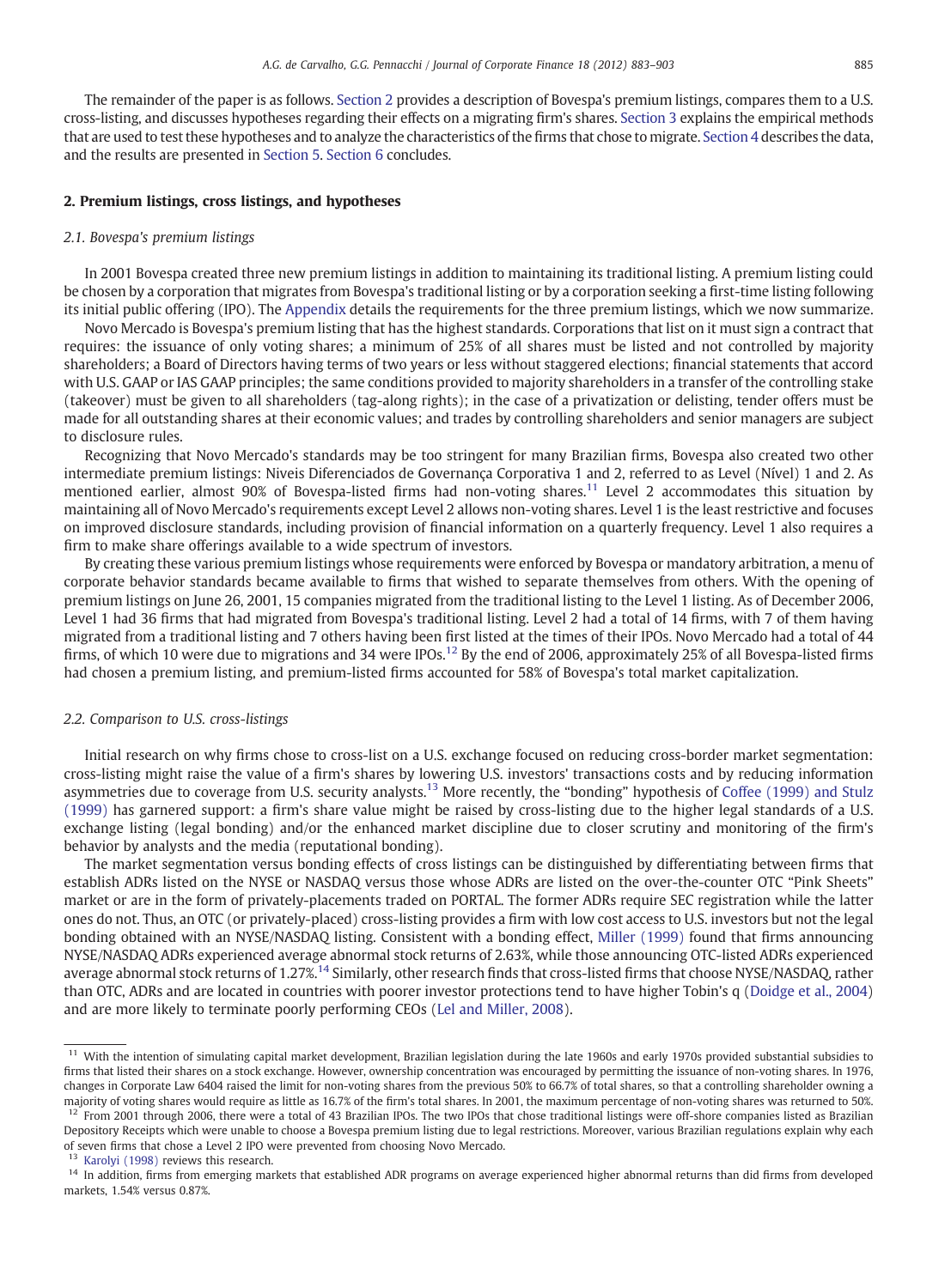The remainder of the paper is as follows. Section 2 provides a description of Bovespa's premium listings, compares them to a U.S. cross-listing, and discusses hypotheses regarding their effects on a migrating firm's shares. [Section 3](#page-5-0) explains the empirical methods that are used to test these hypotheses and to analyze the characteristics of the firms that chose to migrate. [Section 4](#page-8-0) describes the data, and the results are presented in [Section 5](#page-8-0). [Section 6](#page-18-0) concludes.

#### 2. Premium listings, cross listings, and hypotheses

#### 2.1. Bovespa's premium listings

In 2001 Bovespa created three new premium listings in addition to maintaining its traditional listing. A premium listing could be chosen by a corporation that migrates from Bovespa's traditional listing or by a corporation seeking a first-time listing following its initial public offering (IPO). The [Appendix](#page-19-0) details the requirements for the three premium listings, which we now summarize.

Novo Mercado is Bovespa's premium listing that has the highest standards. Corporations that list on it must sign a contract that requires: the issuance of only voting shares; a minimum of 25% of all shares must be listed and not controlled by majority shareholders; a Board of Directors having terms of two years or less without staggered elections; financial statements that accord with U.S. GAAP or IAS GAAP principles; the same conditions provided to majority shareholders in a transfer of the controlling stake (takeover) must be given to all shareholders (tag-along rights); in the case of a privatization or delisting, tender offers must be made for all outstanding shares at their economic values; and trades by controlling shareholders and senior managers are subject to disclosure rules.

Recognizing that Novo Mercado's standards may be too stringent for many Brazilian firms, Bovespa also created two other intermediate premium listings: Niveis Diferenciados de Governança Corporativa 1 and 2, referred to as Level (Nível) 1 and 2. As mentioned earlier, almost 90% of Bovespa-listed firms had non-voting shares.<sup>11</sup> Level 2 accommodates this situation by maintaining all of Novo Mercado's requirements except Level 2 allows non-voting shares. Level 1 is the least restrictive and focuses on improved disclosure standards, including provision of financial information on a quarterly frequency. Level 1 also requires a firm to make share offerings available to a wide spectrum of investors.

By creating these various premium listings whose requirements were enforced by Bovespa or mandatory arbitration, a menu of corporate behavior standards became available to firms that wished to separate themselves from others. With the opening of premium listings on June 26, 2001, 15 companies migrated from the traditional listing to the Level 1 listing. As of December 2006, Level 1 had 36 firms that had migrated from Bovespa's traditional listing. Level 2 had a total of 14 firms, with 7 of them having migrated from a traditional listing and 7 others having been first listed at the times of their IPOs. Novo Mercado had a total of 44 firms, of which 10 were due to migrations and 34 were IPOs.<sup>12</sup> By the end of 2006, approximately 25% of all Bovespa-listed firms had chosen a premium listing, and premium-listed firms accounted for 58% of Bovespa's total market capitalization.

#### 2.2. Comparison to U.S. cross-listings

Initial research on why firms chose to cross-list on a U.S. exchange focused on reducing cross-border market segmentation: cross-listing might raise the value of a firm's shares by lowering U.S. investors' transactions costs and by reducing information asymmetries due to coverage from U.S. security analysts.<sup>13</sup> More recently, the "bonding" hypothesis of [Coffee \(1999\) and Stulz](#page-19-0) [\(1999\)](#page-19-0) has garnered support: a firm's share value might be raised by cross-listing due to the higher legal standards of a U.S. exchange listing (legal bonding) and/or the enhanced market discipline due to closer scrutiny and monitoring of the firm's behavior by analysts and the media (reputational bonding).

The market segmentation versus bonding effects of cross listings can be distinguished by differentiating between firms that establish ADRs listed on the NYSE or NASDAQ versus those whose ADRs are listed on the over-the-counter OTC "Pink Sheets" market or are in the form of privately-placements traded on PORTAL. The former ADRs require SEC registration while the latter ones do not. Thus, an OTC (or privately-placed) cross-listing provides a firm with low cost access to U.S. investors but not the legal bonding obtained with an NYSE/NASDAQ listing. Consistent with a bonding effect, [Miller \(1999\)](#page-20-0) found that firms announcing NYSE/NASDAQ ADRs experienced average abnormal stock returns of 2.63%, while those announcing OTC-listed ADRs experienced average abnormal stock returns of 1.27%.<sup>14</sup> Similarly, other research finds that cross-listed firms that choose NYSE/NASDAQ, rather than OTC, ADRs and are located in countries with poorer investor protections tend to have higher Tobin's q [\(Doidge et al., 2004\)](#page-19-0) and are more likely to terminate poorly performing CEOs ([Lel and Miller, 2008\)](#page-20-0).

<sup>&</sup>lt;sup>11</sup> With the intention of simulating capital market development. Brazilian legislation during the late 1960s and early 1970s provided substantial subsidies to firms that listed their shares on a stock exchange. However, ownership concentration was encouraged by permitting the issuance of non-voting shares. In 1976, changes in Corporate Law 6404 raised the limit for non-voting shares from the previous 50% to 66.7% of total shares, so that a controlling shareholder owning a majority of voting shares would require as little as 16.7% of the firm's total shares. In 2001, the maximum percentage of non-voting shares was returned to 50%. <sup>12</sup> From 2001 through 2006, there were a total of 43 Brazilian IPOs. The two IPOs that chose traditional listings were off-shore companies listed as Brazilian

Depository Receipts which were unable to choose a Bovespa premium listing due to legal restrictions. Moreover, various Brazilian regulations explain why each of seven firms that chose a Level 2 IPO were prevented from choosing Novo Mercado.

<sup>13</sup> [Karolyi \(1998\)](#page-20-0) reviews this research.

<sup>&</sup>lt;sup>14</sup> In addition, firms from emerging markets that established ADR programs on average experienced higher abnormal returns than did firms from developed markets, 1.54% versus 0.87%.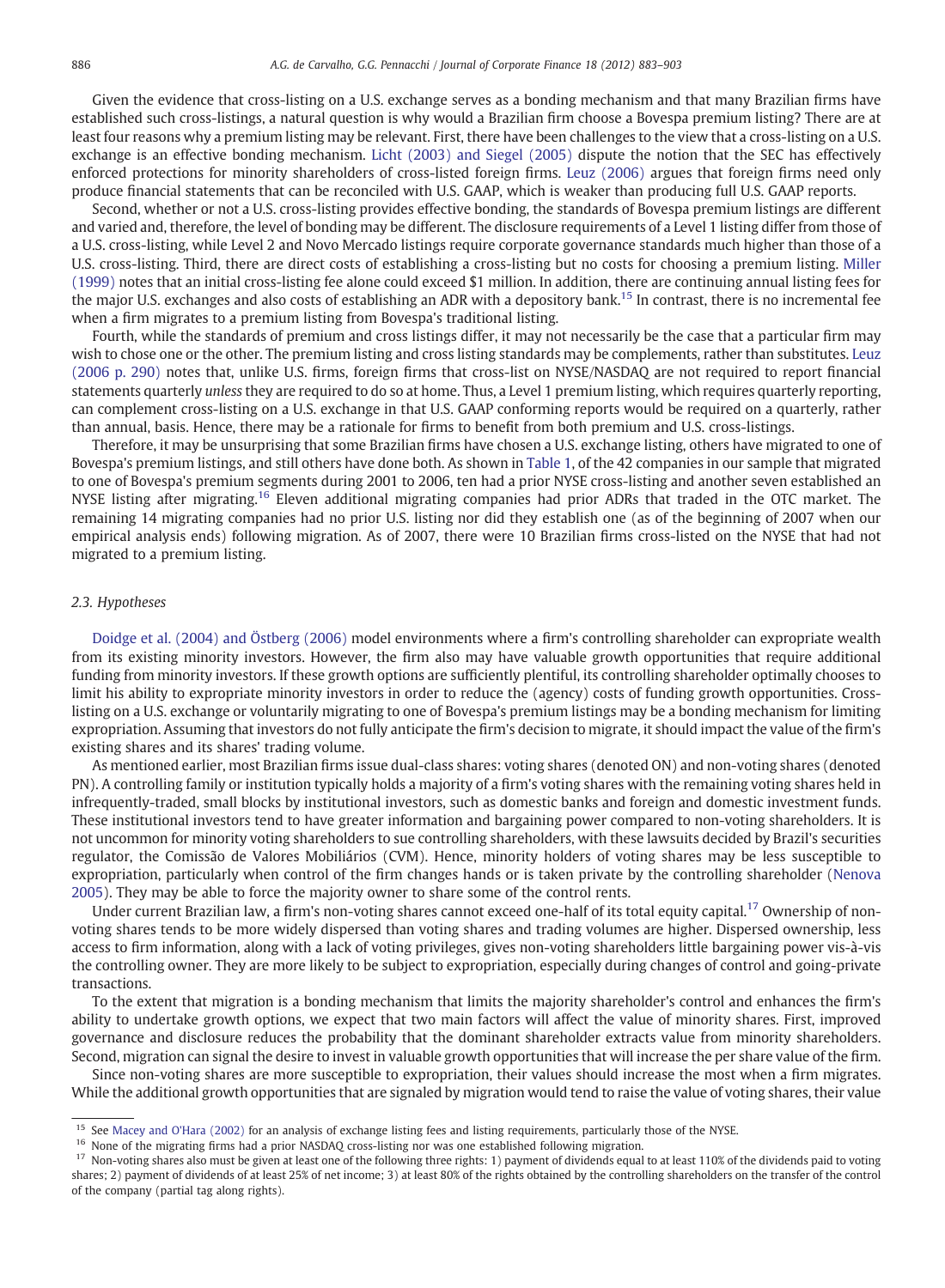Given the evidence that cross-listing on a U.S. exchange serves as a bonding mechanism and that many Brazilian firms have established such cross-listings, a natural question is why would a Brazilian firm choose a Bovespa premium listing? There are at least four reasons why a premium listing may be relevant. First, there have been challenges to the view that a cross-listing on a U.S. exchange is an effective bonding mechanism. [Licht \(2003\) and Siegel \(2005\)](#page-20-0) dispute the notion that the SEC has effectively enforced protections for minority shareholders of cross-listed foreign firms. [Leuz \(2006\)](#page-20-0) argues that foreign firms need only produce financial statements that can be reconciled with U.S. GAAP, which is weaker than producing full U.S. GAAP reports.

Second, whether or not a U.S. cross-listing provides effective bonding, the standards of Bovespa premium listings are different and varied and, therefore, the level of bonding may be different. The disclosure requirements of a Level 1 listing differ from those of a U.S. cross-listing, while Level 2 and Novo Mercado listings require corporate governance standards much higher than those of a U.S. cross-listing. Third, there are direct costs of establishing a cross-listing but no costs for choosing a premium listing. [Miller](#page-20-0) [\(1999\)](#page-20-0) notes that an initial cross-listing fee alone could exceed \$1 million. In addition, there are continuing annual listing fees for the major U.S. exchanges and also costs of establishing an ADR with a depository bank.<sup>15</sup> In contrast, there is no incremental fee when a firm migrates to a premium listing from Bovespa's traditional listing.

Fourth, while the standards of premium and cross listings differ, it may not necessarily be the case that a particular firm may wish to chose one or the other. The premium listing and cross listing standards may be complements, rather than substitutes. [Leuz](#page-20-0) [\(2006 p. 290\)](#page-20-0) notes that, unlike U.S. firms, foreign firms that cross-list on NYSE/NASDAQ are not required to report financial statements quarterly *unless* they are required to do so at home. Thus, a Level 1 premium listing, which requires quarterly reporting, can complement cross-listing on a U.S. exchange in that U.S. GAAP conforming reports would be required on a quarterly, rather than annual, basis. Hence, there may be a rationale for firms to benefit from both premium and U.S. cross-listings.

Therefore, it may be unsurprising that some Brazilian firms have chosen a U.S. exchange listing, others have migrated to one of Bovespa's premium listings, and still others have done both. As shown in [Table 1](#page-4-0), of the 42 companies in our sample that migrated to one of Bovespa's premium segments during 2001 to 2006, ten had a prior NYSE cross-listing and another seven established an NYSE listing after migrating.16 Eleven additional migrating companies had prior ADRs that traded in the OTC market. The remaining 14 migrating companies had no prior U.S. listing nor did they establish one (as of the beginning of 2007 when our empirical analysis ends) following migration. As of 2007, there were 10 Brazilian firms cross-listed on the NYSE that had not migrated to a premium listing.

#### 2.3. Hypotheses

[Doidge et al. \(2004\) and Östberg \(2006\)](#page-19-0) model environments where a firm's controlling shareholder can expropriate wealth from its existing minority investors. However, the firm also may have valuable growth opportunities that require additional funding from minority investors. If these growth options are sufficiently plentiful, its controlling shareholder optimally chooses to limit his ability to expropriate minority investors in order to reduce the (agency) costs of funding growth opportunities. Crosslisting on a U.S. exchange or voluntarily migrating to one of Bovespa's premium listings may be a bonding mechanism for limiting expropriation. Assuming that investors do not fully anticipate the firm's decision to migrate, it should impact the value of the firm's existing shares and its shares' trading volume.

As mentioned earlier, most Brazilian firms issue dual-class shares: voting shares (denoted ON) and non-voting shares (denoted PN). A controlling family or institution typically holds a majority of a firm's voting shares with the remaining voting shares held in infrequently-traded, small blocks by institutional investors, such as domestic banks and foreign and domestic investment funds. These institutional investors tend to have greater information and bargaining power compared to non-voting shareholders. It is not uncommon for minority voting shareholders to sue controlling shareholders, with these lawsuits decided by Brazil's securities regulator, the Comissão de Valores Mobiliários (CVM). Hence, minority holders of voting shares may be less susceptible to expropriation, particularly when control of the firm changes hands or is taken private by the controlling shareholder ([Nenova](#page-20-0) [2005](#page-20-0)). They may be able to force the majority owner to share some of the control rents.

Under current Brazilian law, a firm's non-voting shares cannot exceed one-half of its total equity capital.<sup>17</sup> Ownership of nonvoting shares tends to be more widely dispersed than voting shares and trading volumes are higher. Dispersed ownership, less access to firm information, along with a lack of voting privileges, gives non-voting shareholders little bargaining power vis-à-vis the controlling owner. They are more likely to be subject to expropriation, especially during changes of control and going-private transactions.

To the extent that migration is a bonding mechanism that limits the majority shareholder's control and enhances the firm's ability to undertake growth options, we expect that two main factors will affect the value of minority shares. First, improved governance and disclosure reduces the probability that the dominant shareholder extracts value from minority shareholders. Second, migration can signal the desire to invest in valuable growth opportunities that will increase the per share value of the firm.

Since non-voting shares are more susceptible to expropriation, their values should increase the most when a firm migrates. While the additional growth opportunities that are signaled by migration would tend to raise the value of voting shares, their value

<sup>&</sup>lt;sup>15</sup> See [Macey and O'Hara \(2002\)](#page-20-0) for an analysis of exchange listing fees and listing requirements, particularly those of the NYSE.

<sup>&</sup>lt;sup>16</sup> None of the migrating firms had a prior NASDAQ cross-listing nor was one established following migration.

<sup>&</sup>lt;sup>17</sup> Non-voting shares also must be given at least one of the following three rights: 1) payment of dividends equal to at least 110% of the dividends paid to voting shares; 2) payment of dividends of at least 25% of net income; 3) at least 80% of the rights obtained by the controlling shareholders on the transfer of the control of the company (partial tag along rights).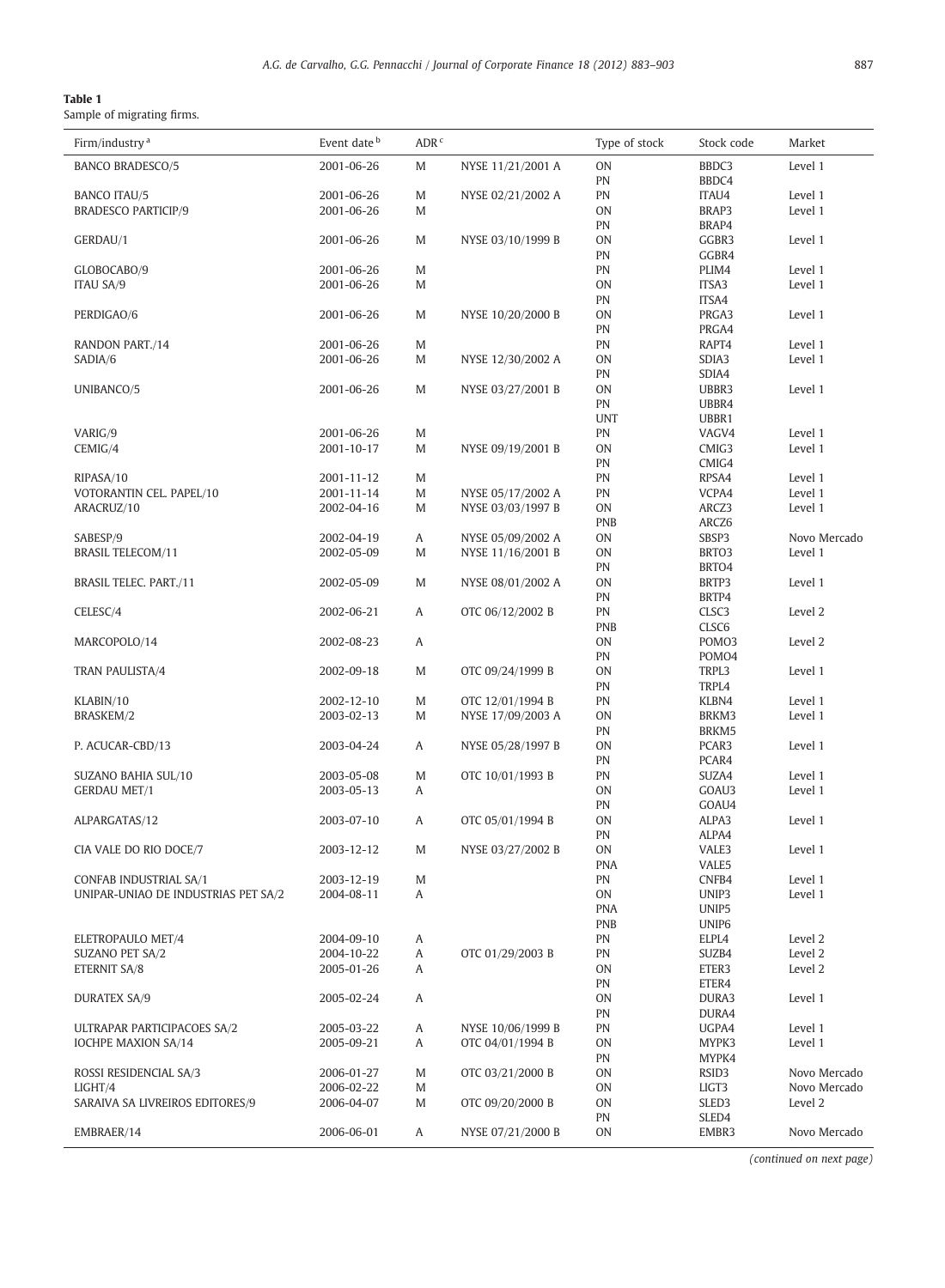<span id="page-4-0"></span>Sample of migrating firms.

| Firm/industry <sup>a</sup>          | Event date <sup>b</sup> | ADR <sup>c</sup> |                   | Type of stock   | Stock code        | Market       |
|-------------------------------------|-------------------------|------------------|-------------------|-----------------|-------------------|--------------|
| <b>BANCO BRADESCO/5</b>             | 2001-06-26              | M                | NYSE 11/21/2001 A | 0N              | BBDC3             | Level 1      |
|                                     |                         |                  |                   | PN              | BBDC4             |              |
| <b>BANCO ITAU/5</b>                 | 2001-06-26              | М                | NYSE 02/21/2002 A | PN              | ITAU4             | Level 1      |
| <b>BRADESCO PARTICIP/9</b>          | 2001-06-26              | M                |                   | <b>ON</b>       | BRAP3             | Level 1      |
|                                     |                         |                  |                   | PN              | BRAP4             |              |
| GERDAU/1                            | 2001-06-26              | M                | NYSE 03/10/1999 B | <b>ON</b>       | GGBR3             | Level 1      |
|                                     |                         |                  |                   | PN              | GGBR4             |              |
| GLOBOCABO/9                         | 2001-06-26              | М                |                   | PN              | PLIM4             | Level 1      |
| ITAU SA/9                           | 2001-06-26              | М                |                   | <b>ON</b><br>PN | ITSA3<br>ITSA4    | Level 1      |
| PERDIGAO/6                          | 2001-06-26              | M                | NYSE 10/20/2000 B | <b>ON</b>       | PRGA3             | Level 1      |
|                                     |                         |                  |                   | PN              | PRGA4             |              |
| RANDON PART./14                     | 2001-06-26              | М                |                   | PN              | RAPT4             | Level 1      |
| SADIA/6                             | 2001-06-26              | М                | NYSE 12/30/2002 A | 0 <sub>N</sub>  | SDIA3             | Level 1      |
|                                     |                         |                  |                   | PN              | SDIA4             |              |
| UNIBANCO/5                          | 2001-06-26              | M                | NYSE 03/27/2001 B | ON              | UBBR3             | Level 1      |
|                                     |                         |                  |                   | PN              | UBBR4             |              |
|                                     |                         |                  |                   | <b>UNT</b>      | UBBR1             |              |
| VARIG/9                             | 2001-06-26              | M                |                   | PN              | VAGV4             | Level 1      |
| CEMIG/4                             | 2001-10-17              | M                | NYSE 09/19/2001 B | <b>ON</b>       | CMIG3             | Level 1      |
|                                     |                         |                  |                   | PN              | CMIG4             |              |
| RIPASA/10                           | 2001-11-12              | M                |                   | PN              | RPSA4             | Level 1      |
| VOTORANTIN CEL, PAPEL/10            | 2001-11-14              | M                | NYSE 05/17/2002 A | PN              | VCPA4             | Level 1      |
| ARACRUZ/10                          | 2002-04-16              | M                | NYSE 03/03/1997 B | 0 <sub>N</sub>  | ARCZ3             | Level 1      |
|                                     |                         |                  |                   | <b>PNB</b>      | ARCZ6             |              |
| SABESP/9                            | 2002-04-19              | Α                | NYSE 05/09/2002 A | ON              | SBSP3             | Novo Mercado |
| <b>BRASIL TELECOM/11</b>            | 2002-05-09              | M                | NYSE 11/16/2001 B | 0 <sub>N</sub>  | BRTO3             | Level 1      |
|                                     |                         |                  |                   | PN              | BRTO4             |              |
| BRASIL TELEC. PART./11              | 2002-05-09              | M                | NYSE 08/01/2002 A | 0 <sub>N</sub>  | BRTP3             | Level 1      |
|                                     |                         |                  |                   | PN              | BRTP4             |              |
| CELESC/4                            | 2002-06-21              | A                | OTC 06/12/2002 B  | PN              | CLSC <sub>3</sub> | Level 2      |
|                                     |                         |                  |                   | <b>PNB</b>      | CLSC <sub>6</sub> |              |
| MARCOPOLO/14                        | 2002-08-23              | Α                |                   | 0 <sub>N</sub>  | POMO3             | Level 2      |
|                                     |                         |                  |                   | PN              | POMO4             |              |
| TRAN PAULISTA/4                     | 2002-09-18              | M                | OTC 09/24/1999 B  | 0 <sub>N</sub>  | TRPL3             | Level 1      |
|                                     |                         |                  |                   | PN              | TRPL4             |              |
| KLABIN/10                           | 2002-12-10              | M                | OTC 12/01/1994 B  | PN              | KLBN4             | Level 1      |
| BRASKEM/2                           | 2003-02-13              | M                | NYSE 17/09/2003 A | <b>ON</b>       | BRKM3             | Level 1      |
|                                     |                         |                  |                   | PN              | BRKM5             |              |
| P. ACUCAR-CBD/13                    | 2003-04-24              | A                | NYSE 05/28/1997 B | <b>ON</b>       | PCAR3             | Level 1      |
|                                     |                         |                  |                   | PN              | PCAR4             |              |
| SUZANO BAHIA SUL/10                 | 2003-05-08              | M                | OTC 10/01/1993 B  | PN              | SUZA4             | Level 1      |
| <b>GERDAU MET/1</b>                 | 2003-05-13              | Α                |                   | <b>ON</b>       | GOAU3             | Level 1      |
|                                     |                         |                  |                   | PN              | GOAU4             |              |
| ALPARGATAS/12                       | 2003-07-10              | A                | OTC 05/01/1994 B  | <b>ON</b>       | ALPA3             | Level 1      |
|                                     |                         |                  |                   | PN              | ALPA4             |              |
| CIA VALE DO RIO DOCE/7              | 2003-12-12              | M                | NYSE 03/27/2002 B | 0 <sub>N</sub>  | VALE3             | Level 1      |
|                                     |                         |                  |                   | <b>PNA</b>      | VALE5             |              |
| CONFAB INDUSTRIAL SA/1              | 2003-12-19              | M                |                   | PN              | CNFB4             | Level 1      |
| UNIPAR-UNIAO DE INDUSTRIAS PET SA/2 | 2004-08-11              | Α                |                   | ON              | UNIP3             | Level 1      |
|                                     |                         |                  |                   | PNA             | UNIP5             |              |
|                                     |                         |                  |                   | PNB             | UNIP6             |              |
| ELETROPAULO MET/4                   | 2004-09-10              | Α                |                   | PN              | ELPL4             | Level 2      |
| SUZANO PET SA/2                     | 2004-10-22              | Α                | OTC 01/29/2003 B  | PN              | SUZB4             | Level 2      |
| ETERNIT SA/8                        | 2005-01-26              | Α                |                   | ON              | ETER3             | Level 2      |
|                                     |                         |                  |                   | PN              | ETER4             |              |
| <b>DURATEX SA/9</b>                 | 2005-02-24              | Α                |                   | ON              | DURA3             | Level 1      |
|                                     |                         |                  |                   | PN              | DURA4             | Level 1      |
| ULTRAPAR PARTICIPACOES SA/2         | 2005-03-22              | A                | NYSE 10/06/1999 B | PN              | UGPA4             |              |
| <b>IOCHPE MAXION SA/14</b>          | 2005-09-21              | A                | OTC 04/01/1994 B  | ON              | MYPK3             | Level 1      |
|                                     |                         |                  | OTC 03/21/2000 B  | PN              | MYPK4             |              |
| ROSSI RESIDENCIAL SA/3              | 2006-01-27              | M                |                   | ON              | RSID <sub>3</sub> | Novo Mercado |
| LIGHT/4                             | 2006-02-22              | M                |                   | ON              | LIGT3             | Novo Mercado |
| SARAIVA SA LIVREIROS EDITORES/9     | 2006-04-07              | M                | OTC 09/20/2000 B  | ON<br>PN        | SLED3<br>SLED4    | Level 2      |
| EMBRAER/14                          | 2006-06-01              | A                | NYSE 07/21/2000 B | ON              | EMBR3             | Novo Mercado |
|                                     |                         |                  |                   |                 |                   |              |

(continued on next page)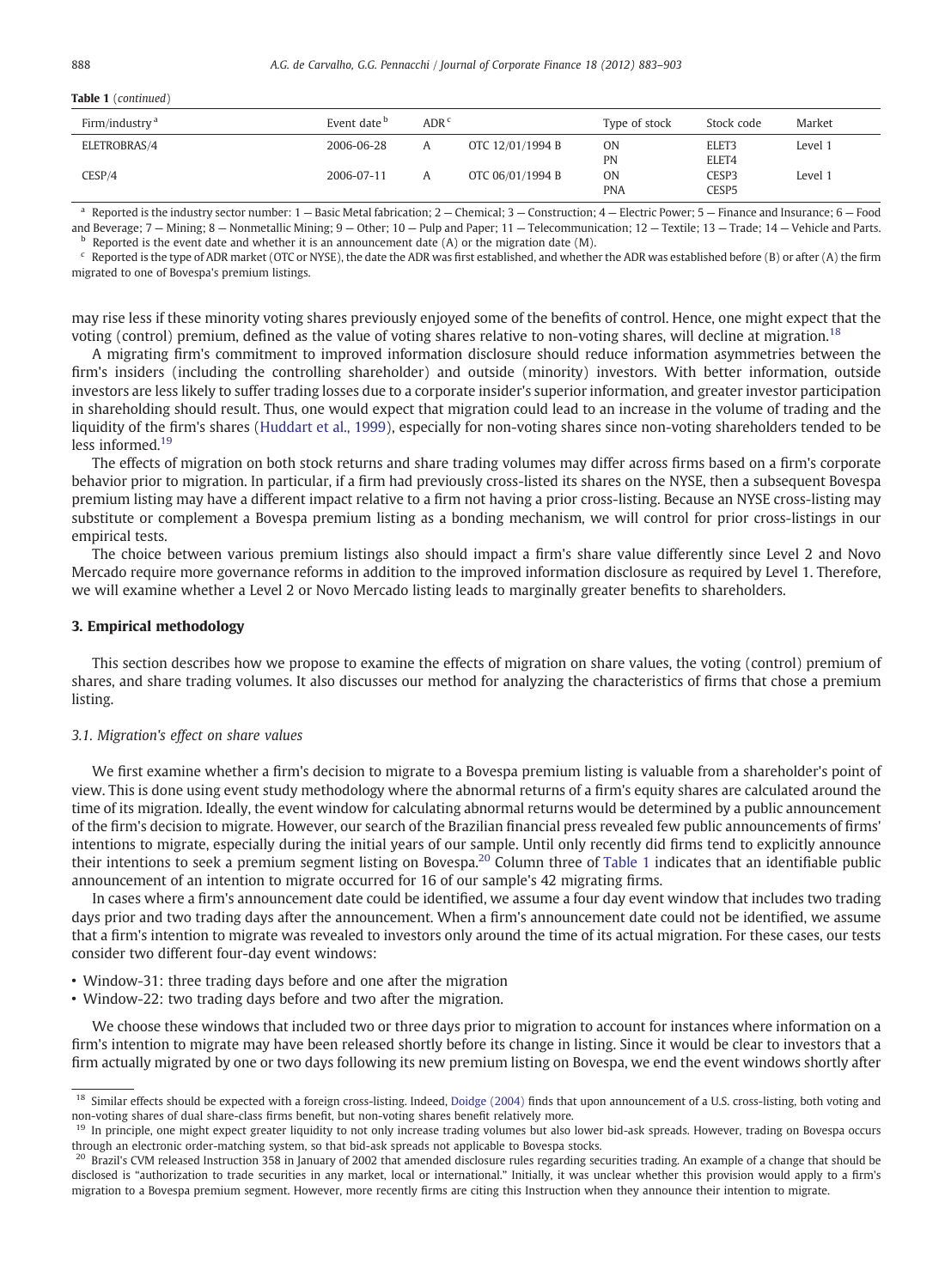#### <span id="page-5-0"></span>Table 1 (continued)

| Firm/industry <sup>a</sup> | Event date <sup>b</sup> | ADR <sup>c</sup> |                  | Type of stock  | Stock code | Market  |
|----------------------------|-------------------------|------------------|------------------|----------------|------------|---------|
| ELETROBRAS/4               | 2006-06-28              | A                | OTC 12/01/1994 B | ON             | ELET3      | Level 1 |
|                            |                         |                  |                  | <b>PN</b>      | ELET4      |         |
| CESP/4                     | 2006-07-11              | $\overline{A}$   | OTC 06/01/1994 B | 0 <sub>N</sub> | CESP3      | Level 1 |
|                            |                         |                  |                  | <b>PNA</b>     | CESP5      |         |

<sup>a</sup> Reported is the industry sector number: 1 - Basic Metal fabrication; 2 - Chemical; 3 - Construction; 4 - Electric Power; 5 - Finance and Insurance; 6 - Food and Beverage; 7 — Mining; 8 — Nonmetallic Mining; 9 — Other; 10 — Pulp and Paper; 11 — Telecommunication; 12 — Textile; 13 — Trade; 14 — Vehicle and Parts. Reported is the event date and whether it is an announcement date  $(A)$  or the migration date  $(M)$ .

 $c$  Reported is the type of ADR market (OTC or NYSE), the date the ADR was first established, and whether the ADR was established before (B) or after (A) the firm migrated to one of Bovespa's premium listings.

may rise less if these minority voting shares previously enjoyed some of the benefits of control. Hence, one might expect that the voting (control) premium, defined as the value of voting shares relative to non-voting shares, will decline at migration.18

A migrating firm's commitment to improved information disclosure should reduce information asymmetries between the firm's insiders (including the controlling shareholder) and outside (minority) investors. With better information, outside investors are less likely to suffer trading losses due to a corporate insider's superior information, and greater investor participation in shareholding should result. Thus, one would expect that migration could lead to an increase in the volume of trading and the liquidity of the firm's shares ([Huddart et al., 1999](#page-20-0)), especially for non-voting shares since non-voting shareholders tended to be less informed.19

The effects of migration on both stock returns and share trading volumes may differ across firms based on a firm's corporate behavior prior to migration. In particular, if a firm had previously cross-listed its shares on the NYSE, then a subsequent Bovespa premium listing may have a different impact relative to a firm not having a prior cross-listing. Because an NYSE cross-listing may substitute or complement a Bovespa premium listing as a bonding mechanism, we will control for prior cross-listings in our empirical tests.

The choice between various premium listings also should impact a firm's share value differently since Level 2 and Novo Mercado require more governance reforms in addition to the improved information disclosure as required by Level 1. Therefore, we will examine whether a Level 2 or Novo Mercado listing leads to marginally greater benefits to shareholders.

#### 3. Empirical methodology

This section describes how we propose to examine the effects of migration on share values, the voting (control) premium of shares, and share trading volumes. It also discusses our method for analyzing the characteristics of firms that chose a premium listing.

#### 3.1. Migration's effect on share values

We first examine whether a firm's decision to migrate to a Bovespa premium listing is valuable from a shareholder's point of view. This is done using event study methodology where the abnormal returns of a firm's equity shares are calculated around the time of its migration. Ideally, the event window for calculating abnormal returns would be determined by a public announcement of the firm's decision to migrate. However, our search of the Brazilian financial press revealed few public announcements of firms' intentions to migrate, especially during the initial years of our sample. Until only recently did firms tend to explicitly announce their intentions to seek a premium segment listing on Bovespa.20 Column three of [Table 1](#page-4-0) indicates that an identifiable public announcement of an intention to migrate occurred for 16 of our sample's 42 migrating firms.

In cases where a firm's announcement date could be identified, we assume a four day event window that includes two trading days prior and two trading days after the announcement. When a firm's announcement date could not be identified, we assume that a firm's intention to migrate was revealed to investors only around the time of its actual migration. For these cases, our tests consider two different four-day event windows:

- Window-31: three trading days before and one after the migration
- Window-22: two trading days before and two after the migration.

We choose these windows that included two or three days prior to migration to account for instances where information on a firm's intention to migrate may have been released shortly before its change in listing. Since it would be clear to investors that a firm actually migrated by one or two days following its new premium listing on Bovespa, we end the event windows shortly after

<sup>&</sup>lt;sup>18</sup> Similar effects should be expected with a foreign cross-listing. Indeed, [Doidge \(2004\)](#page-19-0) finds that upon announcement of a U.S. cross-listing, both voting and non-voting shares of dual share-class firms benefit, but non-voting shares benefit relatively more.

<sup>&</sup>lt;sup>19</sup> In principle, one might expect greater liquidity to not only increase trading volumes but also lower bid-ask spreads. However, trading on Bovespa occurs through an electronic order-matching system, so that bid-ask spreads not applicable to Bovespa stocks.

<sup>&</sup>lt;sup>20</sup> Brazil's CVM released Instruction 358 in January of 2002 that amended disclosure rules regarding securities trading. An example of a change that should be disclosed is "authorization to trade securities in any market, local or international." Initially, it was unclear whether this provision would apply to a firm's migration to a Bovespa premium segment. However, more recently firms are citing this Instruction when they announce their intention to migrate.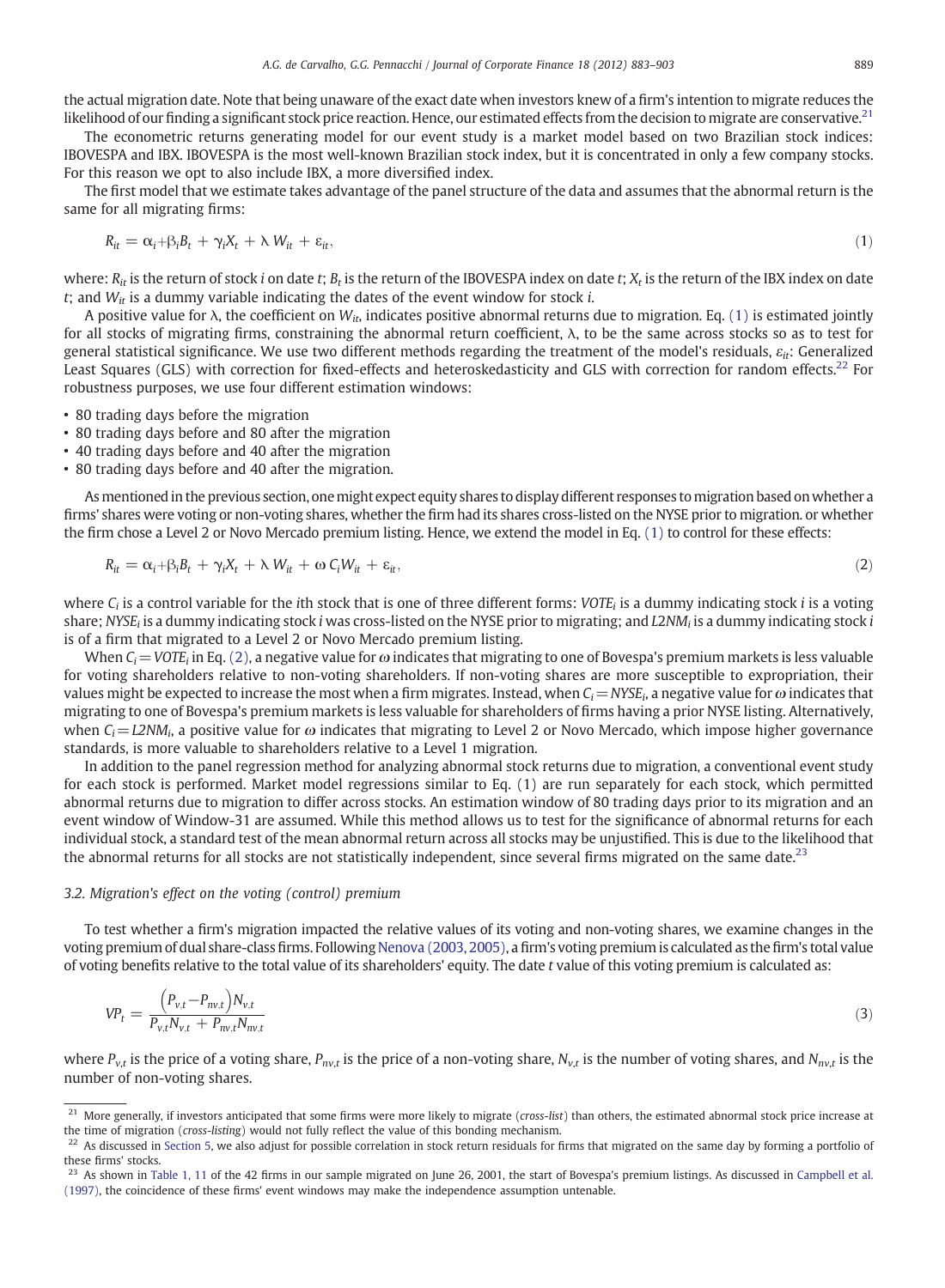<span id="page-6-0"></span>the actual migration date. Note that being unaware of the exact date when investors knew of a firm's intention to migrate reduces the likelihood of our finding a significant stock price reaction. Hence, our estimated effects from the decision to migrate are conservative.<sup>21</sup>

The econometric returns generating model for our event study is a market model based on two Brazilian stock indices: IBOVESPA and IBX. IBOVESPA is the most well-known Brazilian stock index, but it is concentrated in only a few company stocks. For this reason we opt to also include IBX, a more diversified index.

The first model that we estimate takes advantage of the panel structure of the data and assumes that the abnormal return is the same for all migrating firms:

$$
R_{it} = \alpha_i + \beta_i B_t + \gamma_i X_t + \lambda W_{it} + \varepsilon_{it},\tag{1}
$$

where:  $R_{it}$  is the return of stock i on date t;  $B_t$  is the return of the IBOVESPA index on date t;  $X_t$  is the return of the IBX index on date t; and  $W_{it}$  is a dummy variable indicating the dates of the event window for stock *i*.

A positive value for  $\lambda$ , the coefficient on  $W_{in}$  indicates positive abnormal returns due to migration. Eq. (1) is estimated jointly for all stocks of migrating firms, constraining the abnormal return coefficient, λ, to be the same across stocks so as to test for general statistical significance. We use two different methods regarding the treatment of the model's residuals,  $\varepsilon_{ii}$ : Generalized Least Squares (GLS) with correction for fixed-effects and heteroskedasticity and GLS with correction for random effects.<sup>22</sup> For robustness purposes, we use four different estimation windows:

- 80 trading days before the migration
- 80 trading days before and 80 after the migration
- 40 trading days before and 40 after the migration
- 80 trading days before and 40 after the migration.

As mentioned in the previous section, one might expect equity shares to display different responses to migration based on whether a firms' shares were voting or non-voting shares, whether the firm had its shares cross-listed on the NYSE prior to migration. or whether the firm chose a Level 2 or Novo Mercado premium listing. Hence, we extend the model in Eq. (1) to control for these effects:

$$
R_{it} = \alpha_i + \beta_i B_t + \gamma_i X_t + \lambda W_{it} + \omega C_i W_{it} + \varepsilon_{it},
$$
\n(2)

where  $C_i$  is a control variable for the ith stock that is one of three different forms: VOTE<sub>i</sub> is a dummy indicating stock *i* is a voting share; NYSE<sub>i</sub> is a dummy indicating stock *i* was cross-listed on the NYSE prior to migrating; and  $L2NM_i$  is a dummy indicating stock *i* is of a firm that migrated to a Level 2 or Novo Mercado premium listing.

When  $C_i=VOTE_i$  in Eq. (2), a negative value for  $\omega$  indicates that migrating to one of Bovespa's premium markets is less valuable for voting shareholders relative to non-voting shareholders. If non-voting shares are more susceptible to expropriation, their values might be expected to increase the most when a firm migrates. Instead, when  $C_i = NYSE_i$ , a negative value for  $\omega$  indicates that migrating to one of Bovespa's premium markets is less valuable for shareholders of firms having a prior NYSE listing. Alternatively, when  $C_i=LSNM_i$ , a positive value for  $\omega$  indicates that migrating to Level 2 or Novo Mercado, which impose higher governance standards, is more valuable to shareholders relative to a Level 1 migration.

In addition to the panel regression method for analyzing abnormal stock returns due to migration, a conventional event study for each stock is performed. Market model regressions similar to Eq. (1) are run separately for each stock, which permitted abnormal returns due to migration to differ across stocks. An estimation window of 80 trading days prior to its migration and an event window of Window-31 are assumed. While this method allows us to test for the significance of abnormal returns for each individual stock, a standard test of the mean abnormal return across all stocks may be unjustified. This is due to the likelihood that the abnormal returns for all stocks are not statistically independent, since several firms migrated on the same date. $^{23}$ 

### 3.2. Migration's effect on the voting (control) premium

To test whether a firm's migration impacted the relative values of its voting and non-voting shares, we examine changes in the voting premium of dual share-classfirms. Following [Nenova \(2003, 2005\)](#page-20-0), a firm's voting premium is calculated as thefirm's total value of voting benefits relative to the total value of its shareholders' equity. The date t value of this voting premium is calculated as:

$$
VP_t = \frac{\left(P_{v,t} - P_{nv,t}\right)N_{v,t}}{P_{v,t}N_{v,t} + P_{nv,t}N_{nv,t}}
$$
\n(3)

where  $P_{v,t}$  is the price of a voting share,  $P_{nv,t}$  is the price of a non-voting share,  $N_{v,t}$  is the number of voting shares, and  $N_{nv,t}$  is the number of non-voting shares.

<sup>&</sup>lt;sup>21</sup> More generally, if investors anticipated that some firms were more likely to migrate (cross-list) than others, the estimated abnormal stock price increase at the time of migration (cross-listing) would not fully reflect the value of this bonding mechanism.

 $22$  As discussed in [Section 5](#page-8-0), we also adjust for possible correlation in stock return residuals for firms that migrated on the same day by forming a portfolio of these firms' stocks.

 $^{23}$  As shown in [Table 1, 11](#page-4-0) of the 42 firms in our sample migrated on June 26, 2001, the start of Bovespa's premium listings. As discussed in [Campbell et al.](#page-19-0) [\(1997\)](#page-19-0), the coincidence of these firms' event windows may make the independence assumption untenable.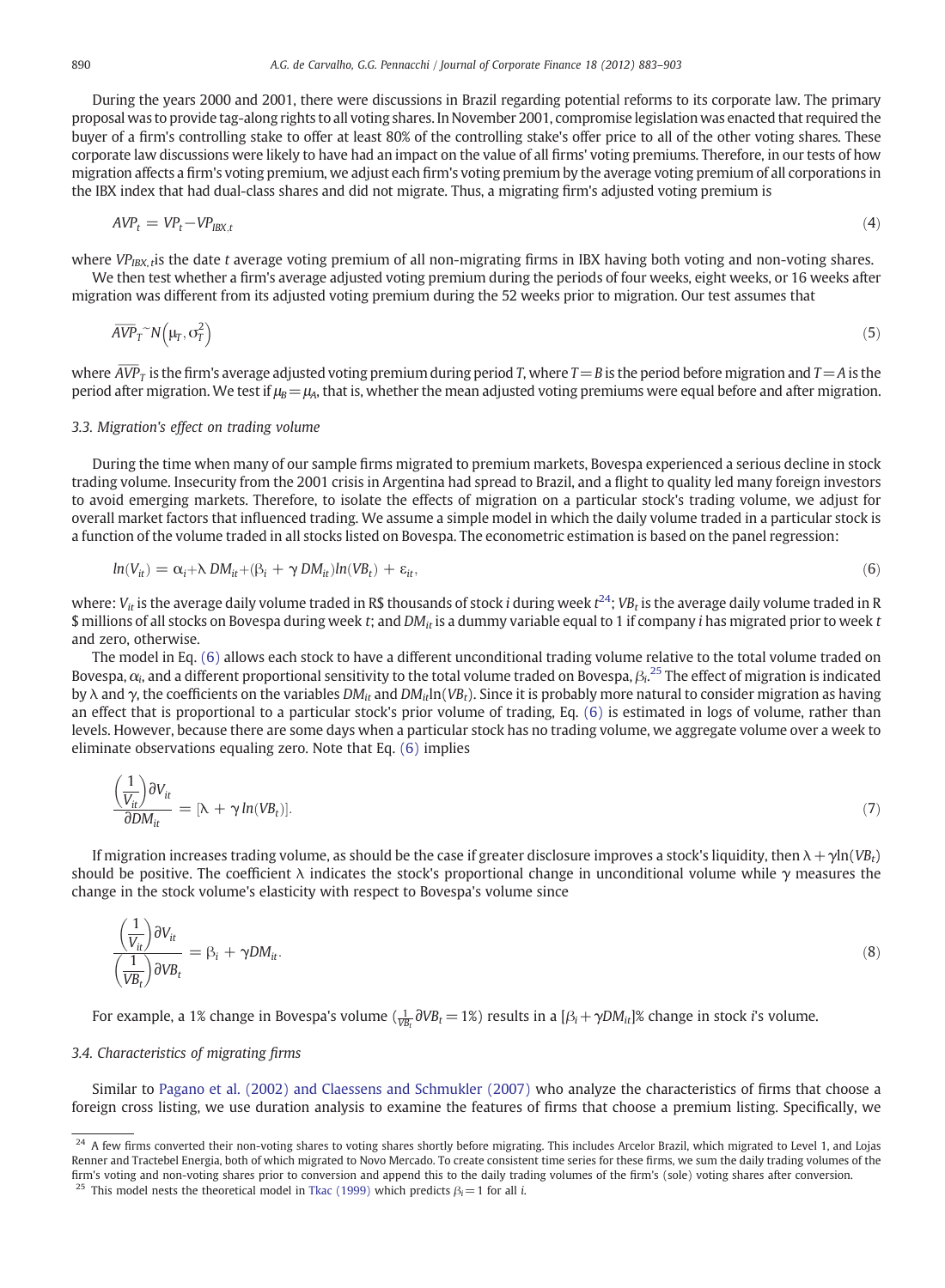<span id="page-7-0"></span>During the years 2000 and 2001, there were discussions in Brazil regarding potential reforms to its corporate law. The primary proposal was to provide tag-along rights to all voting shares. In November 2001, compromise legislation was enacted that required the buyer of a firm's controlling stake to offer at least 80% of the controlling stake's offer price to all of the other voting shares. These corporate law discussions were likely to have had an impact on the value of all firms' voting premiums. Therefore, in our tests of how migration affects a firm's voting premium, we adjust each firm's voting premium by the average voting premium of all corporations in the IBX index that had dual-class shares and did not migrate. Thus, a migrating firm's adjusted voting premium is

$$
AVP_t = VP_t - VP_{IBX,t} \tag{4}
$$

where  $VP_{IRX,t}$  is the date t average voting premium of all non-migrating firms in IBX having both voting and non-voting shares.

We then test whether a firm's average adjusted voting premium during the periods of four weeks, eight weeks, or 16 weeks after migration was different from its adjusted voting premium during the 52 weeks prior to migration. Our test assumes that

$$
\overline{AVP}_T \sim N(\mu_T, \sigma_T^2) \tag{5}
$$

where  $\overline{AVP}$  $\overline{AVP}_T$  is the firm's average adjusted voting premium during period T, where  $T$  = B is the period before migration and  $T$  = A is the period after migration. We test if  $\mu_B = \mu_A$ , that is, whether the mean adjusted voting premiums were equal before and after migration.

# 3.3. Migration's effect on trading volume

During the time when many of our sample firms migrated to premium markets, Bovespa experienced a serious decline in stock trading volume. Insecurity from the 2001 crisis in Argentina had spread to Brazil, and a flight to quality led many foreign investors to avoid emerging markets. Therefore, to isolate the effects of migration on a particular stock's trading volume, we adjust for overall market factors that influenced trading. We assume a simple model in which the daily volume traded in a particular stock is a function of the volume traded in all stocks listed on Bovespa. The econometric estimation is based on the panel regression:

$$
ln(V_{it}) = \alpha_i + \lambda DM_{it} + (\beta_i + \gamma DM_{it}) ln(VB_t) + \varepsilon_{it},
$$
\n(6)

where:  $V_{it}$  is the average daily volume traded in R\$ thousands of stock  $i$  during week  $t^{24}$ ; VB<sub>t</sub> is the average daily volume traded in R  $\$$  millions of all stocks on Bovespa during week t; and DM<sub>it</sub> is a dummy variable equal to 1 if company *i* has migrated prior to week t and zero, otherwise.

The model in Eq. (6) allows each stock to have a different unconditional trading volume relative to the total volume traded on Bovespa,  $\alpha_i$ , and a different proportional sensitivity to the total volume traded on Bovespa,  $\beta_i$ .<sup>25</sup> The effect of migration is indicated by  $\lambda$  and  $\gamma$ , the coefficients on the variables  $DM_{it}$  and  $DM_{it}$  in (VB<sub>t</sub>). Since it is probably more natural to consider migration as having an effect that is proportional to a particular stock's prior volume of trading, Eq. (6) is estimated in logs of volume, rather than levels. However, because there are some days when a particular stock has no trading volume, we aggregate volume over a week to eliminate observations equaling zero. Note that Eq. (6) implies

$$
\frac{\left(\frac{1}{V_{it}}\right)\partial V_{it}}{\partial DM_{it}} = [\lambda + \gamma \ln(VB_t)].
$$
\n(7)

If migration increases trading volume, as should be the case if greater disclosure improves a stock's liquidity, then  $\lambda + \gamma \ln(VB_t)$ should be positive. The coefficient  $\lambda$  indicates the stock's proportional change in unconditional volume while  $\gamma$  measures the change in the stock volume's elasticity with respect to Bovespa's volume since

$$
\frac{\left(\frac{1}{V_{it}}\right)\partial V_{it}}{\left(\frac{1}{VB_t}\right)\partial V_{B_t}} = \beta_i + \gamma DM_{it}.
$$
\n(8)

For example, a 1% change in Bovespa's volume  $(\frac{1}{VB_t} \partial VB_t = 1\%)$  results in a  $[\beta_i + \gamma DM_{it}]\%$  change in stock i's volume.

#### 3.4. Characteristics of migrating firms

Similar to [Pagano et al. \(2002\) and Claessens and Schmukler \(2007\)](#page-20-0) who analyze the characteristics of firms that choose a foreign cross listing, we use duration analysis to examine the features of firms that choose a premium listing. Specifically, we

<sup>&</sup>lt;sup>24</sup> A few firms converted their non-voting shares to voting shares shortly before migrating. This includes Arcelor Brazil, which migrated to Level 1, and Lojas Renner and Tractebel Energia, both of which migrated to Novo Mercado. To create consistent time series for these firms, we sum the daily trading volumes of the firm's voting and non-voting shares prior to conversion and append this to the daily trading volumes of the firm's (sole) voting shares after conversion. <sup>25</sup> This model nests the theoretical model in [Tkac \(1999\)](#page-20-0) which predicts  $\beta_i = 1$  for all *i*.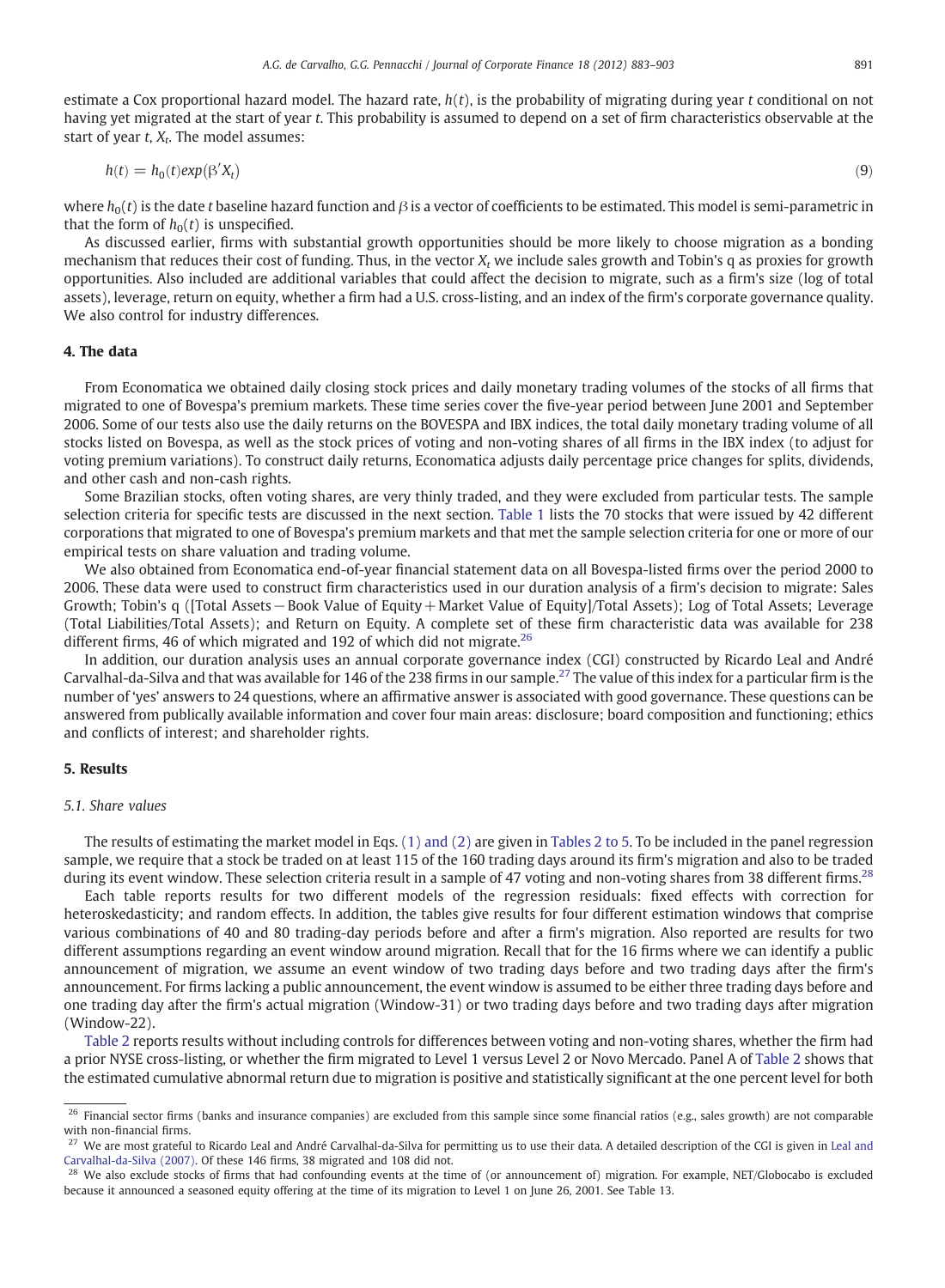<span id="page-8-0"></span>estimate a Cox proportional hazard model. The hazard rate,  $h(t)$ , is the probability of migrating during year t conditional on not having yet migrated at the start of year t. This probability is assumed to depend on a set of firm characteristics observable at the start of year  $t$ ,  $X_t$ . The model assumes:

$$
h(t) = h_0(t) \exp(\beta' X_t) \tag{9}
$$

where  $h_0(t)$  is the date t baseline hazard function and  $\beta$  is a vector of coefficients to be estimated. This model is semi-parametric in that the form of  $h_0(t)$  is unspecified.

As discussed earlier, firms with substantial growth opportunities should be more likely to choose migration as a bonding mechanism that reduces their cost of funding. Thus, in the vector  $X_t$  we include sales growth and Tobin's q as proxies for growth opportunities. Also included are additional variables that could affect the decision to migrate, such as a firm's size (log of total assets), leverage, return on equity, whether a firm had a U.S. cross-listing, and an index of the firm's corporate governance quality. We also control for industry differences.

# 4. The data

From Economatica we obtained daily closing stock prices and daily monetary trading volumes of the stocks of all firms that migrated to one of Bovespa's premium markets. These time series cover the five-year period between June 2001 and September 2006. Some of our tests also use the daily returns on the BOVESPA and IBX indices, the total daily monetary trading volume of all stocks listed on Bovespa, as well as the stock prices of voting and non-voting shares of all firms in the IBX index (to adjust for voting premium variations). To construct daily returns, Economatica adjusts daily percentage price changes for splits, dividends, and other cash and non-cash rights.

Some Brazilian stocks, often voting shares, are very thinly traded, and they were excluded from particular tests. The sample selection criteria for specific tests are discussed in the next section. [Table 1](#page-4-0) lists the 70 stocks that were issued by 42 different corporations that migrated to one of Bovespa's premium markets and that met the sample selection criteria for one or more of our empirical tests on share valuation and trading volume.

We also obtained from Economatica end-of-year financial statement data on all Bovespa-listed firms over the period 2000 to 2006. These data were used to construct firm characteristics used in our duration analysis of a firm's decision to migrate: Sales Growth; Tobin's q ([Total Assets−Book Value of Equity+Market Value of Equity]/Total Assets); Log of Total Assets; Leverage (Total Liabilities/Total Assets); and Return on Equity. A complete set of these firm characteristic data was available for 238 different firms, 46 of which migrated and 192 of which did not migrate.<sup>26</sup>

In addition, our duration analysis uses an annual corporate governance index (CGI) constructed by Ricardo Leal and André Carvalhal-da-Silva and that was available for 146 of the 238 firms in our sample.<sup>27</sup> The value of this index for a particular firm is the number of 'yes' answers to 24 questions, where an affirmative answer is associated with good governance. These questions can be answered from publically available information and cover four main areas: disclosure; board composition and functioning; ethics and conflicts of interest; and shareholder rights.

# 5. Results

#### 5.1. Share values

The results of estimating the market model in Eqs. [\(1\) and \(2\)](#page-6-0) are given in [Tables 2 to 5.](#page-9-0) To be included in the panel regression sample, we require that a stock be traded on at least 115 of the 160 trading days around its firm's migration and also to be traded during its event window. These selection criteria result in a sample of 47 voting and non-voting shares from 38 different firms.<sup>28</sup>

Each table reports results for two different models of the regression residuals: fixed effects with correction for heteroskedasticity; and random effects. In addition, the tables give results for four different estimation windows that comprise various combinations of 40 and 80 trading-day periods before and after a firm's migration. Also reported are results for two different assumptions regarding an event window around migration. Recall that for the 16 firms where we can identify a public announcement of migration, we assume an event window of two trading days before and two trading days after the firm's announcement. For firms lacking a public announcement, the event window is assumed to be either three trading days before and one trading day after the firm's actual migration (Window-31) or two trading days before and two trading days after migration (Window-22).

[Table 2](#page-9-0) reports results without including controls for differences between voting and non-voting shares, whether the firm had a prior NYSE cross-listing, or whether the firm migrated to Level 1 versus Level 2 or Novo Mercado. Panel A of [Table 2](#page-9-0) shows that the estimated cumulative abnormal return due to migration is positive and statistically significant at the one percent level for both

<sup>&</sup>lt;sup>26</sup> Financial sector firms (banks and insurance companies) are excluded from this sample since some financial ratios (e.g., sales growth) are not comparable with non-financial firms.

<sup>&</sup>lt;sup>27</sup> We are most grateful to Ricardo [Leal and](#page-20-0) André Carvalhal-da-Silva for permitting us to use their data. A detailed description of the CGI is given in Leal and [Carvalhal-da-Silva \(2007\)](#page-20-0). Of these 146 firms, 38 migrated and 108 did not.

<sup>&</sup>lt;sup>28</sup> We also exclude stocks of firms that had confounding events at the time of (or announcement of) migration. For example, NET/Globocabo is excluded because it announced a seasoned equity offering at the time of its migration to Level 1 on June 26, 2001. See Table 13.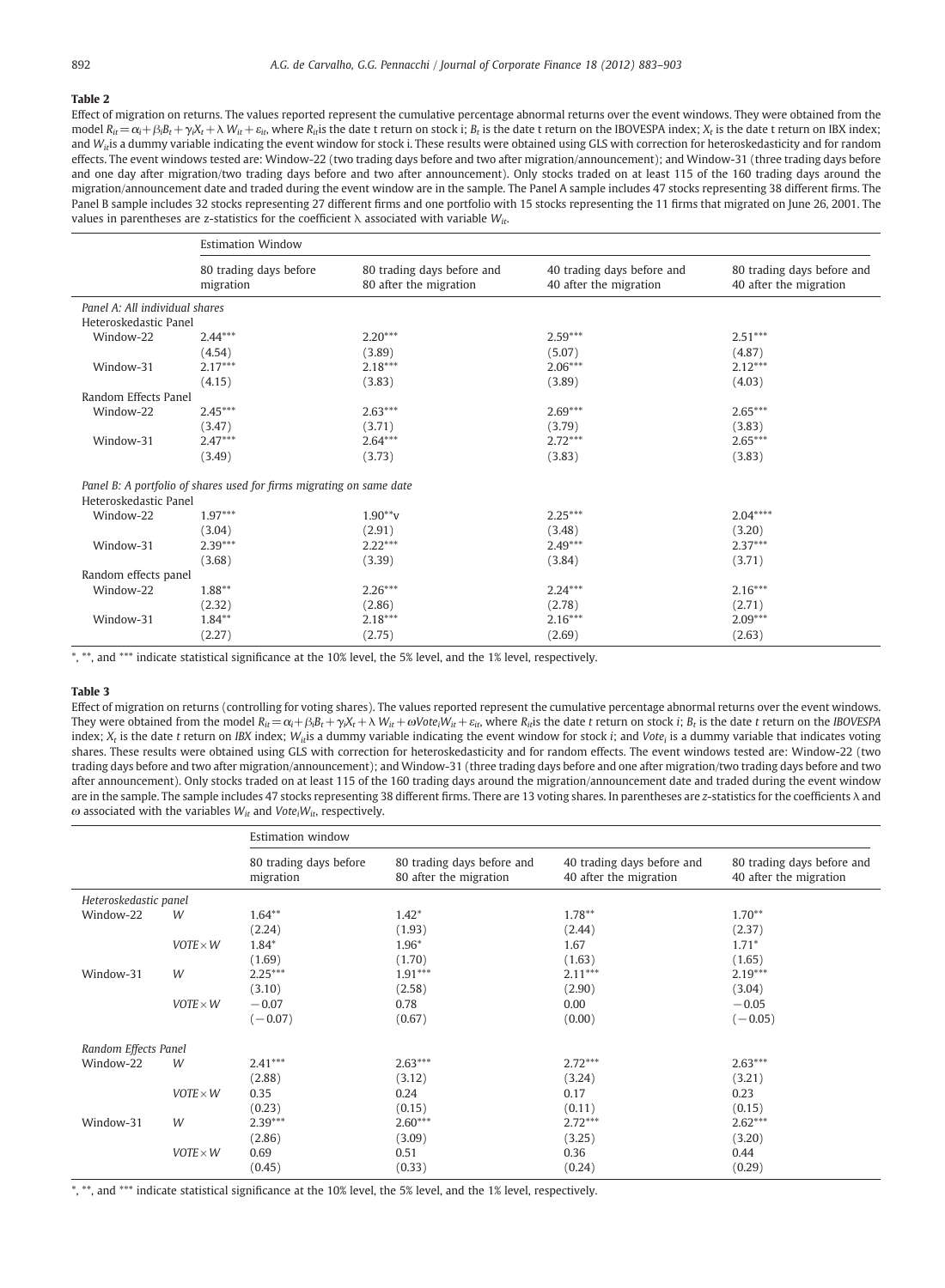<span id="page-9-0"></span>Effect of migration on returns. The values reported represent the cumulative percentage abnormal returns over the event windows. They were obtained from the model  $R_i = \alpha_i + \beta_i B_t + \gamma_i X_t + \lambda W_{it} + \varepsilon_i$ , where  $R_i$  is the date t return on stock i; B<sub>t</sub> is the date t return on the IBOVESPA index; X<sub>t</sub> is the date t return on IBX index; and  $W_{it}$  is a dummy variable indicating the event window for stock i. These results were obtained using GLS with correction for heteroskedasticity and for random effects. The event windows tested are: Window-22 (two trading days before and two after migration/announcement); and Window-31 (three trading days before and one day after migration/two trading days before and two after announcement). Only stocks traded on at least 115 of the 160 trading days around the migration/announcement date and traded during the event window are in the sample. The Panel A sample includes 47 stocks representing 38 different firms. The Panel B sample includes 32 stocks representing 27 different firms and one portfolio with 15 stocks representing the 11 firms that migrated on June 26, 2001. The values in parentheses are z-statistics for the coefficient  $\lambda$  associated with variable  $W_{it}$ .

|                                | <b>Estimation Window</b>                                             |                                                      |                                                      |                                                      |
|--------------------------------|----------------------------------------------------------------------|------------------------------------------------------|------------------------------------------------------|------------------------------------------------------|
|                                | 80 trading days before<br>migration                                  | 80 trading days before and<br>80 after the migration | 40 trading days before and<br>40 after the migration | 80 trading days before and<br>40 after the migration |
| Panel A: All individual shares |                                                                      |                                                      |                                                      |                                                      |
| Heteroskedastic Panel          |                                                                      |                                                      |                                                      |                                                      |
| Window-22                      | $2.44***$                                                            | $2.20***$                                            | $2.59***$                                            | $2.51***$                                            |
|                                | (4.54)                                                               | (3.89)                                               | (5.07)                                               | (4.87)                                               |
| Window-31                      | $2.17***$                                                            | $2.18***$                                            | $2.06***$                                            | $2.12***$                                            |
|                                | (4.15)                                                               | (3.83)                                               | (3.89)                                               | (4.03)                                               |
| Random Effects Panel           |                                                                      |                                                      |                                                      |                                                      |
| Window-22                      | $2.45***$                                                            | $2.63***$                                            | $2.69***$                                            | $2.65***$                                            |
|                                | (3.47)                                                               | (3.71)                                               | (3.79)                                               | (3.83)                                               |
| Window-31                      | $2.47***$                                                            | $2.64***$                                            | $2.72***$                                            | $2.65***$                                            |
|                                | (3.49)                                                               | (3.73)                                               | (3.83)                                               | (3.83)                                               |
|                                | Panel B: A portfolio of shares used for firms migrating on same date |                                                      |                                                      |                                                      |
| Heteroskedastic Panel          |                                                                      |                                                      |                                                      |                                                      |
| Window-22                      | $1.97***$                                                            | $1.90**v$                                            | $2.25***$                                            | $2.04***$                                            |
|                                | (3.04)                                                               | (2.91)                                               | (3.48)                                               | (3.20)                                               |
| Window-31                      | $2.39***$                                                            | $2.22***$                                            | $2.49***$                                            | $2.37***$                                            |
|                                | (3.68)                                                               | (3.39)                                               | (3.84)                                               | (3.71)                                               |
| Random effects panel           |                                                                      |                                                      |                                                      |                                                      |
| Window-22                      | $1.88***$                                                            | $2.26***$                                            | $2.24***$                                            | $2.16***$                                            |
|                                | (2.32)                                                               | (2.86)                                               | (2.78)                                               | (2.71)                                               |
| Window-31                      | $1.84**$                                                             | $2.18***$                                            | $2.16***$                                            | $2.09***$                                            |
|                                | (2.27)                                                               | (2.75)                                               | (2.69)                                               | (2.63)                                               |

\*, \*\*, and \*\*\* indicate statistical significance at the 10% level, the 5% level, and the 1% level, respectively.

#### Table 3

Effect of migration on returns (controlling for voting shares). The values reported represent the cumulative percentage abnormal returns over the event windows. They were obtained from the model  $R_{it} = \alpha_i + \beta_i B_t + \gamma_i X_t + \lambda W_{it} + \omega V_0 t e_i W_{it} + \varepsilon_{it}$ , where  $R_{it}$  is the date t return on stock i;  $B_t$  is the date t return on the IBOVESPA index;  $X_t$  is the date t return on IBX index;  $W_{it}$ is a dummy variable indicating the event window for stock i; and Vote<sub>i</sub> is a dummy variable that indicates voting shares. These results were obtained using GLS with correction for heteroskedasticity and for random effects. The event windows tested are: Window-22 (two trading days before and two after migration/announcement); and Window-31 (three trading days before and one after migration/two trading days before and two after announcement). Only stocks traded on at least 115 of the 160 trading days around the migration/announcement date and traded during the event window are in the sample. The sample includes 47 stocks representing 38 different firms. There are 13 voting shares. In parentheses are z-statistics for the coefficients λ and  $\omega$  associated with the variables  $W_{it}$  and Vote<sub>i</sub> $W_{it}$ , respectively.

|                       |                 | <b>Estimation window</b>            |                                                      |                                                      |                                                      |
|-----------------------|-----------------|-------------------------------------|------------------------------------------------------|------------------------------------------------------|------------------------------------------------------|
|                       |                 | 80 trading days before<br>migration | 80 trading days before and<br>80 after the migration | 40 trading days before and<br>40 after the migration | 80 trading days before and<br>40 after the migration |
| Heteroskedastic panel |                 |                                     |                                                      |                                                      |                                                      |
| Window-22             | W               | $1.64**$                            | $1.42*$                                              | $1.78***$                                            | $1.70**$                                             |
|                       |                 | (2.24)                              | (1.93)                                               | (2.44)                                               | (2.37)                                               |
|                       | $VOTE \times W$ | $1.84*$                             | $1.96*$                                              | 1.67                                                 | $1.71*$                                              |
|                       |                 | (1.69)                              | (1.70)                                               | (1.63)                                               | (1.65)                                               |
| Window-31             | W               | $2.25***$                           | $1.91***$                                            | $2.11***$                                            | $2.19***$                                            |
|                       |                 | (3.10)                              | (2.58)                                               | (2.90)                                               | (3.04)                                               |
|                       | $VOTE \times W$ | $-0.07$                             | 0.78                                                 | 0.00                                                 | $-0.05$                                              |
|                       |                 | $(-0.07)$                           | (0.67)                                               | (0.00)                                               | $(-0.05)$                                            |
| Random Effects Panel  |                 |                                     |                                                      |                                                      |                                                      |
| Window-22             | W               | $2.41***$                           | $2.63***$                                            | $2.72***$                                            | $2.63***$                                            |
|                       |                 | (2.88)                              | (3.12)                                               | (3.24)                                               | (3.21)                                               |
|                       | $VOTE \times W$ | 0.35                                | 0.24                                                 | 0.17                                                 | 0.23                                                 |
|                       |                 | (0.23)                              | (0.15)                                               | (0.11)                                               | (0.15)                                               |
| Window-31             | W               | $2.39***$                           | $2.60***$                                            | $2.72***$                                            | $2.62***$                                            |
|                       |                 | (2.86)                              | (3.09)                                               | (3.25)                                               | (3.20)                                               |
|                       | $VOTE \times W$ | 0.69                                | 0.51                                                 | 0.36                                                 | 0.44                                                 |
|                       |                 | (0.45)                              | (0.33)                                               | (0.24)                                               | (0.29)                                               |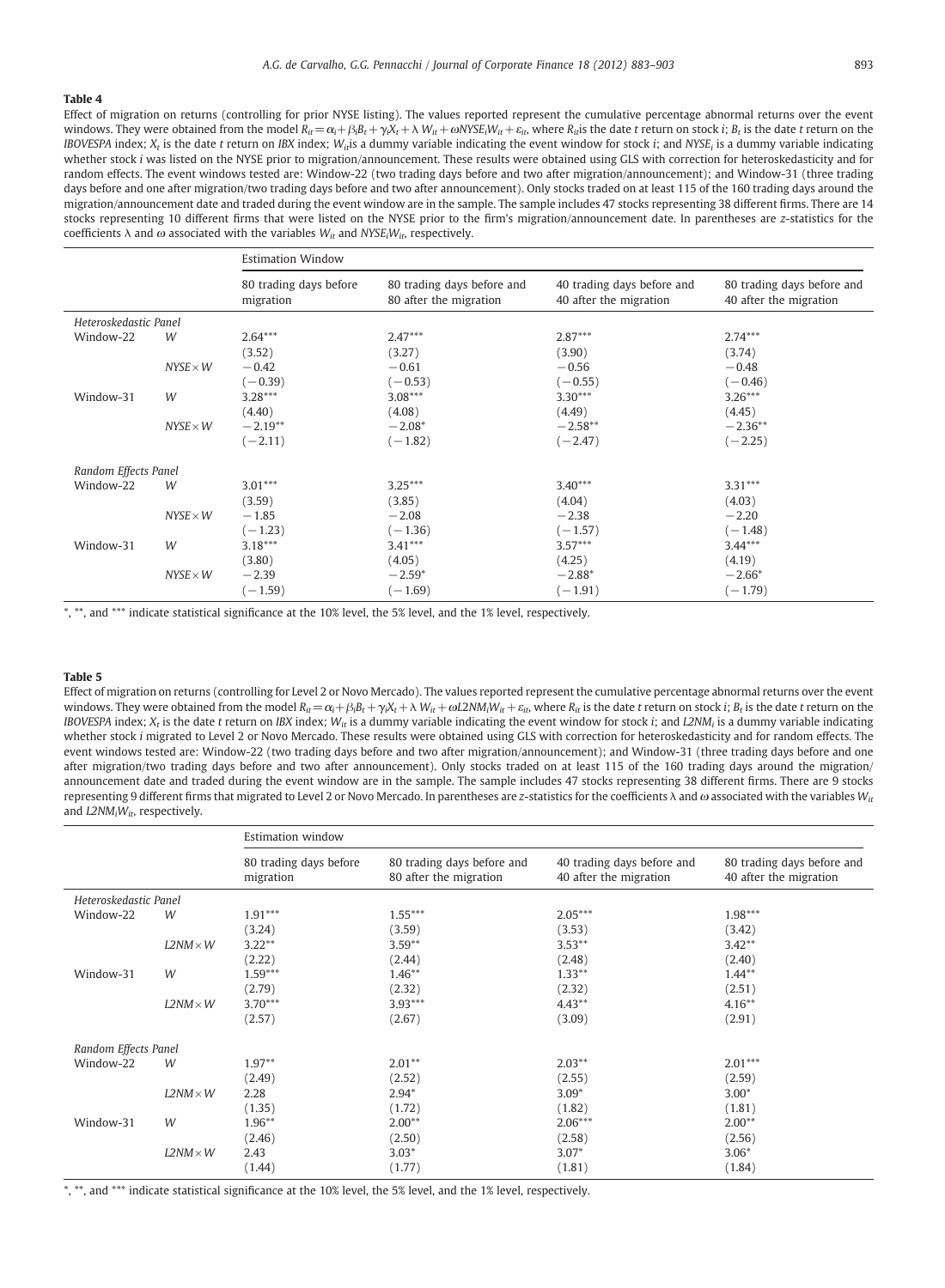<span id="page-10-0"></span>Effect of migration on returns (controlling for prior NYSE listing). The values reported represent the cumulative percentage abnormal returns over the event windows. They were obtained from the model  $R_{ii} = \alpha_i + \beta_i B_t + \gamma_i X_t + \lambda W_{ii} + \omega N YSE_i W_{ii} + \varepsilon_{ii}$ , where  $R_{ii}$  is the date t return on stock i;  $B_t$  is the date t return on the IBOVESPA index;  $X_t$  is the date t return on IBX index;  $W_{it}$ is a dummy variable indicating the event window for stock i; and NYSE<sub>i</sub> is a dummy variable indicating whether stock *i* was listed on the NYSE prior to migration/announcement. These results were obtained using GLS with correction for heteroskedasticity and for random effects. The event windows tested are: Window-22 (two trading days before and two after migration/announcement); and Window-31 (three trading days before and one after migration/two trading days before and two after announcement). Only stocks traded on at least 115 of the 160 trading days around the migration/announcement date and traded during the event window are in the sample. The sample includes 47 stocks representing 38 different firms. There are 14 stocks representing 10 different firms that were listed on the NYSE prior to the firm's migration/announcement date. In parentheses are z-statistics for the coefficients  $\lambda$  and  $\omega$  associated with the variables  $W_{it}$  and NYSE<sub>i</sub> $W_{it}$ , respectively.

|                       |                 | <b>Estimation Window</b>            |                                                      |                                                      |                                                      |
|-----------------------|-----------------|-------------------------------------|------------------------------------------------------|------------------------------------------------------|------------------------------------------------------|
|                       |                 | 80 trading days before<br>migration | 80 trading days before and<br>80 after the migration | 40 trading days before and<br>40 after the migration | 80 trading days before and<br>40 after the migration |
| Heteroskedastic Panel |                 |                                     |                                                      |                                                      |                                                      |
| Window-22             | W               | $2.64***$                           | $2.47***$                                            | $2.87***$                                            | $2.74***$                                            |
|                       |                 | (3.52)                              | (3.27)                                               | (3.90)                                               | (3.74)                                               |
|                       | $NYSE \times W$ | $-0.42$                             | $-0.61$                                              | $-0.56$                                              | $-0.48$                                              |
|                       |                 | $(-0.39)$                           | $(-0.53)$                                            | $(-0.55)$                                            | $(-0.46)$                                            |
| Window-31             | W               | $3.28***$                           | $3.08***$                                            | $3.30***$                                            | $3.26***$                                            |
|                       |                 | (4.40)                              | (4.08)                                               | (4.49)                                               | (4.45)                                               |
|                       | $NYSE \times W$ | $-2.19**$                           | $-2.08*$                                             | $-2.58**$                                            | $-2.36**$                                            |
|                       |                 | $(-2.11)$                           | $(-1.82)$                                            | $(-2.47)$                                            | $(-2.25)$                                            |
| Random Effects Panel  |                 |                                     |                                                      |                                                      |                                                      |
| Window-22             | W               | $3.01***$                           | $3.25***$                                            | $3.40***$                                            | $3.31***$                                            |
|                       |                 | (3.59)                              | (3.85)                                               | (4.04)                                               | (4.03)                                               |
|                       | $NYSE \times W$ | $-1.85$                             | $-2.08$                                              | $-2.38$                                              | $-2.20$                                              |
|                       |                 | $(-1.23)$                           | $(-1.36)$                                            | $(-1.57)$                                            | $(-1.48)$                                            |
| Window-31             | W               | $3.18***$                           | $3.41***$                                            | $3.57***$                                            | $3.44***$                                            |
|                       |                 | (3.80)                              | (4.05)                                               | (4.25)                                               | (4.19)                                               |
|                       | $NYSE \times W$ | $-2.39$                             | $-2.59*$                                             | $-2.88*$                                             | $-2.66*$                                             |
|                       |                 | $(-1.59)$                           | $(-1.69)$                                            | $(-1.91)$                                            | $(-1.79)$                                            |

\*, \*\*, and \*\*\* indicate statistical significance at the 10% level, the 5% level, and the 1% level, respectively.

#### Table 5

Effect of migration on returns (controlling for Level 2 or Novo Mercado). The values reported represent the cumulative percentage abnormal returns over the event windows. They were obtained from the model  $R_{it} = \alpha_i + \beta_i B_t + \gamma_i X_t + \lambda W_{it} + \omega L 2NM_i W_{it} + \varepsilon_{it}$ , where  $R_{it}$  is the date t return on stock i;  $B_t$  is the date t return on the IBOVESPA index;  $X_t$  is the date t return on IBX index;  $W_{it}$  is a dummy variable indicating the event window for stock i; and L2NM<sub>i</sub> is a dummy variable indicating whether stock i migrated to Level 2 or Novo Mercado. These results were obtained using GLS with correction for heteroskedasticity and for random effects. The event windows tested are: Window-22 (two trading days before and two after migration/announcement); and Window-31 (three trading days before and one after migration/two trading days before and two after announcement). Only stocks traded on at least 115 of the 160 trading days around the migration/ announcement date and traded during the event window are in the sample. The sample includes 47 stocks representing 38 different firms. There are 9 stocks representing 9 different firms that migrated to Level 2 or Novo Mercado. In parentheses are z-statistics for the coefficients  $\lambda$  and  $\omega$  associated with the variables  $W_{it}$ and  $L2NM_iW_i$ , respectively.

|                       |                 | Estimation window                   |                                                      |                                                      |                                                      |
|-----------------------|-----------------|-------------------------------------|------------------------------------------------------|------------------------------------------------------|------------------------------------------------------|
|                       |                 | 80 trading days before<br>migration | 80 trading days before and<br>80 after the migration | 40 trading days before and<br>40 after the migration | 80 trading days before and<br>40 after the migration |
| Heteroskedastic Panel |                 |                                     |                                                      |                                                      |                                                      |
| Window-22             | W               | $1.91***$                           | $1.55***$                                            | $2.05***$                                            | $1.98***$                                            |
|                       |                 | (3.24)                              | (3.59)                                               | (3.53)                                               | (3.42)                                               |
|                       | $L2NM \times W$ | $3.22***$                           | $3.59**$                                             | $3.53**$                                             | $3.42**$                                             |
|                       |                 | (2.22)                              | (2.44)                                               | (2.48)                                               | (2.40)                                               |
| Window-31             | W               | $1.59***$                           | $1.46**$                                             | $1.33**$                                             | $1.44***$                                            |
|                       |                 | (2.79)                              | (2.32)                                               | (2.32)                                               | (2.51)                                               |
|                       | $L2NM \times W$ | $3.70***$                           | $3.93***$                                            | $4.43**$                                             | $4.16***$                                            |
|                       |                 | (2.57)                              | (2.67)                                               | (3.09)                                               | (2.91)                                               |
| Random Effects Panel  |                 |                                     |                                                      |                                                      |                                                      |
| Window-22             | W               | $1.97**$                            | $2.01**$                                             | $2.03**$                                             | $2.01***$                                            |
|                       |                 | (2.49)                              | (2.52)                                               | (2.55)                                               | (2.59)                                               |
|                       | $L2NM \times W$ | 2.28                                | $2.94*$                                              | $3.09*$                                              | $3.00*$                                              |
|                       |                 | (1.35)                              | (1.72)                                               | (1.82)                                               | (1.81)                                               |
| Window-31             | W               | $1.96**$                            | $2.00**$                                             | $2.06***$                                            | $2.00**$                                             |
|                       |                 | (2.46)                              | (2.50)                                               | (2.58)                                               | (2.56)                                               |
|                       | $L2NM \times W$ | 2.43                                | $3.03*$                                              | $3.07*$                                              | $3.06*$                                              |
|                       |                 | (1.44)                              | (1.77)                                               | (1.81)                                               | (1.84)                                               |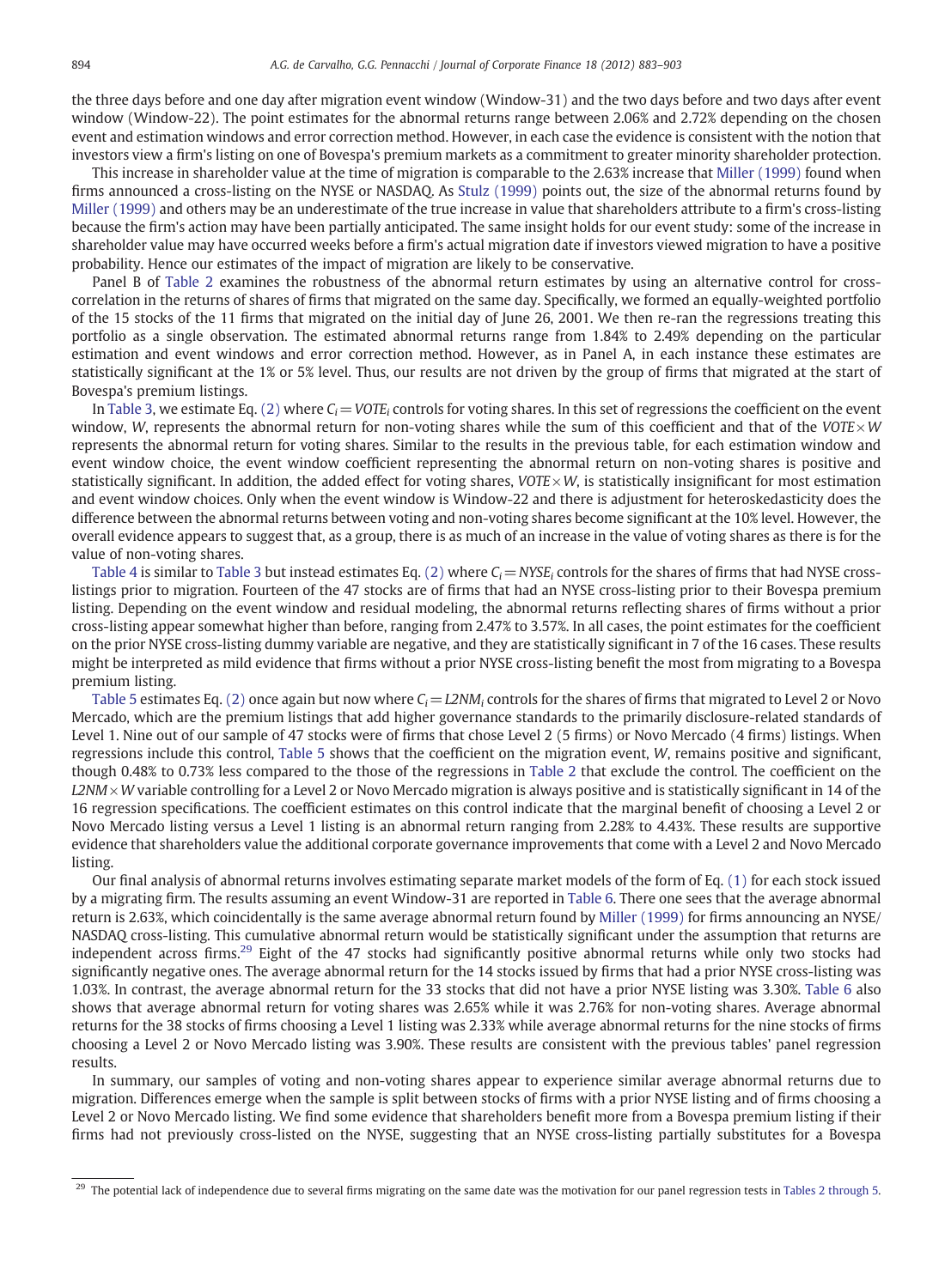the three days before and one day after migration event window (Window-31) and the two days before and two days after event window (Window-22). The point estimates for the abnormal returns range between 2.06% and 2.72% depending on the chosen event and estimation windows and error correction method. However, in each case the evidence is consistent with the notion that investors view a firm's listing on one of Bovespa's premium markets as a commitment to greater minority shareholder protection.

This increase in shareholder value at the time of migration is comparable to the 2.63% increase that [Miller \(1999\)](#page-20-0) found when firms announced a cross-listing on the NYSE or NASDAQ. As [Stulz \(1999\)](#page-20-0) points out, the size of the abnormal returns found by [Miller \(1999\)](#page-20-0) and others may be an underestimate of the true increase in value that shareholders attribute to a firm's cross-listing because the firm's action may have been partially anticipated. The same insight holds for our event study: some of the increase in shareholder value may have occurred weeks before a firm's actual migration date if investors viewed migration to have a positive probability. Hence our estimates of the impact of migration are likely to be conservative.

Panel B of [Table 2](#page-9-0) examines the robustness of the abnormal return estimates by using an alternative control for crosscorrelation in the returns of shares of firms that migrated on the same day. Specifically, we formed an equally-weighted portfolio of the 15 stocks of the 11 firms that migrated on the initial day of June 26, 2001. We then re-ran the regressions treating this portfolio as a single observation. The estimated abnormal returns range from 1.84% to 2.49% depending on the particular estimation and event windows and error correction method. However, as in Panel A, in each instance these estimates are statistically significant at the 1% or 5% level. Thus, our results are not driven by the group of firms that migrated at the start of Bovespa's premium listings.

In [Table 3,](#page-9-0) we estimate Eq. [\(2\)](#page-6-0) where  $C_i=VOTE_i$  controls for voting shares. In this set of regressions the coefficient on the event window, W, represents the abnormal return for non-voting shares while the sum of this coefficient and that of the VOTE×W represents the abnormal return for voting shares. Similar to the results in the previous table, for each estimation window and event window choice, the event window coefficient representing the abnormal return on non-voting shares is positive and statistically significant. In addition, the added effect for voting shares,  $VOTE \times W$ , is statistically insignificant for most estimation and event window choices. Only when the event window is Window-22 and there is adjustment for heteroskedasticity does the difference between the abnormal returns between voting and non-voting shares become significant at the 10% level. However, the overall evidence appears to suggest that, as a group, there is as much of an increase in the value of voting shares as there is for the value of non-voting shares.

[Table 4](#page-10-0) is similar to [Table 3](#page-9-0) but instead estimates Eq. [\(2\)](#page-6-0) where  $C_i = NYSE_i$  controls for the shares of firms that had NYSE crosslistings prior to migration. Fourteen of the 47 stocks are of firms that had an NYSE cross-listing prior to their Bovespa premium listing. Depending on the event window and residual modeling, the abnormal returns reflecting shares of firms without a prior cross-listing appear somewhat higher than before, ranging from 2.47% to 3.57%. In all cases, the point estimates for the coefficient on the prior NYSE cross-listing dummy variable are negative, and they are statistically significant in 7 of the 16 cases. These results might be interpreted as mild evidence that firms without a prior NYSE cross-listing benefit the most from migrating to a Bovespa premium listing.

[Table 5](#page-10-0) estimates Eq. [\(2\)](#page-6-0) once again but now where  $C_i = L2NM_i$  controls for the shares of firms that migrated to Level 2 or Novo Mercado, which are the premium listings that add higher governance standards to the primarily disclosure-related standards of Level 1. Nine out of our sample of 47 stocks were of firms that chose Level 2 (5 firms) or Novo Mercado (4 firms) listings. When regressions include this control, [Table 5](#page-10-0) shows that the coefficient on the migration event, W, remains positive and significant, though 0.48% to 0.73% less compared to the those of the regressions in [Table 2](#page-9-0) that exclude the control. The coefficient on the  $L2NM\times W$  variable controlling for a Level 2 or Novo Mercado migration is always positive and is statistically significant in 14 of the 16 regression specifications. The coefficient estimates on this control indicate that the marginal benefit of choosing a Level 2 or Novo Mercado listing versus a Level 1 listing is an abnormal return ranging from 2.28% to 4.43%. These results are supportive evidence that shareholders value the additional corporate governance improvements that come with a Level 2 and Novo Mercado listing.

Our final analysis of abnormal returns involves estimating separate market models of the form of Eq. [\(1\)](#page-6-0) for each stock issued by a migrating firm. The results assuming an event Window-31 are reported in [Table 6](#page-12-0). There one sees that the average abnormal return is 2.63%, which coincidentally is the same average abnormal return found by [Miller \(1999\)](#page-20-0) for firms announcing an NYSE/ NASDAQ cross-listing. This cumulative abnormal return would be statistically significant under the assumption that returns are independent across firms.<sup>29</sup> Eight of the 47 stocks had significantly positive abnormal returns while only two stocks had significantly negative ones. The average abnormal return for the 14 stocks issued by firms that had a prior NYSE cross-listing was 1.03%. In contrast, the average abnormal return for the 33 stocks that did not have a prior NYSE listing was 3.30%. [Table 6](#page-12-0) also shows that average abnormal return for voting shares was 2.65% while it was 2.76% for non-voting shares. Average abnormal returns for the 38 stocks of firms choosing a Level 1 listing was 2.33% while average abnormal returns for the nine stocks of firms choosing a Level 2 or Novo Mercado listing was 3.90%. These results are consistent with the previous tables' panel regression results.

In summary, our samples of voting and non-voting shares appear to experience similar average abnormal returns due to migration. Differences emerge when the sample is split between stocks of firms with a prior NYSE listing and of firms choosing a Level 2 or Novo Mercado listing. We find some evidence that shareholders benefit more from a Bovespa premium listing if their firms had not previously cross-listed on the NYSE, suggesting that an NYSE cross-listing partially substitutes for a Bovespa

<sup>&</sup>lt;sup>29</sup> The potential lack of independence due to several firms migrating on the same date was the motivation for our panel regression tests in [Tables 2 through 5.](#page-9-0)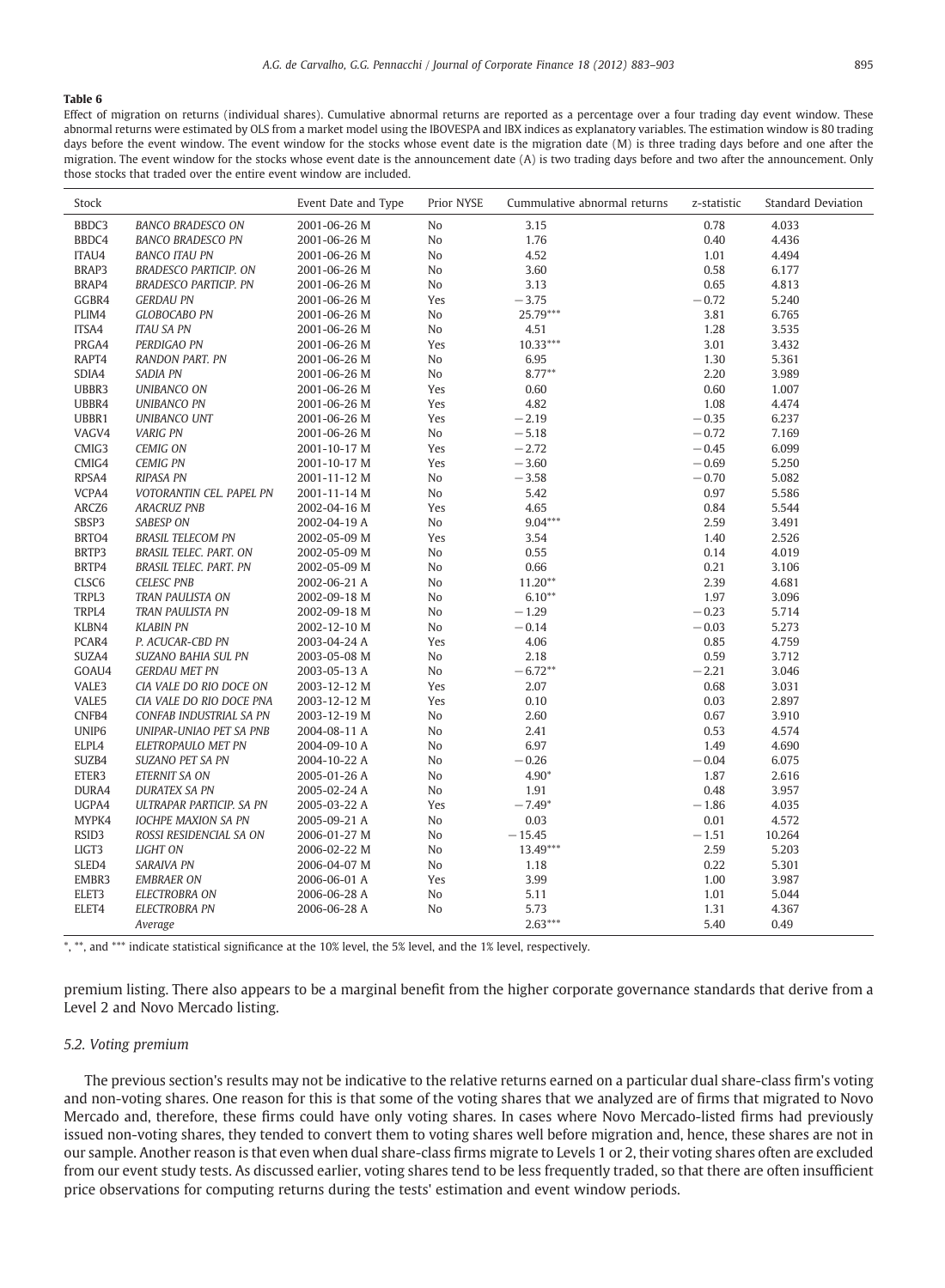<span id="page-12-0"></span>Effect of migration on returns (individual shares). Cumulative abnormal returns are reported as a percentage over a four trading day event window. These abnormal returns were estimated by OLS from a market model using the IBOVESPA and IBX indices as explanatory variables. The estimation window is 80 trading days before the event window. The event window for the stocks whose event date is the migration date (M) is three trading days before and one after the migration. The event window for the stocks whose event date is the announcement date (A) is two trading days before and two after the announcement. Only those stocks that traded over the entire event window are included.

| Stock             |                               | Event Date and Type | Prior NYSE | Cummulative abnormal returns | z-statistic | <b>Standard Deviation</b> |
|-------------------|-------------------------------|---------------------|------------|------------------------------|-------------|---------------------------|
| BBDC3             | <b>BANCO BRADESCO ON</b>      | 2001-06-26 M        | No         | 3.15                         | 0.78        | 4.033                     |
| BBDC4             | <b>BANCO BRADESCO PN</b>      | 2001-06-26 M        | No         | 1.76                         | 0.40        | 4.436                     |
| ITAU4             | <b>BANCO ITAU PN</b>          | 2001-06-26 M        | No         | 4.52                         | 1.01        | 4.494                     |
| BRAP3             | <b>BRADESCO PARTICIP. ON</b>  | 2001-06-26 M        | No         | 3.60                         | 0.58        | 6.177                     |
| BRAP4             | <b>BRADESCO PARTICIP. PN</b>  | 2001-06-26 M        | No         | 3.13                         | 0.65        | 4.813                     |
| GGBR4             | <b>GERDAU PN</b>              | 2001-06-26 M        | Yes        | $-3.75$                      | $-0.72$     | 5.240                     |
| PLIM4             | GLOBOCABO PN                  | 2001-06-26 M        | No         | 25.79***                     | 3.81        | 6.765                     |
| ITSA4             | <b>ITAU SA PN</b>             | 2001-06-26 M        | No         | 4.51                         | 1.28        | 3.535                     |
| PRGA4             | PERDIGAO PN                   | 2001-06-26 M        | Yes        | $10.33***$                   | 3.01        | 3.432                     |
| RAPT4             | RANDON PART. PN               | 2001-06-26 M        | No         | 6.95                         | 1.30        | 5.361                     |
| SDIA4             | <b>SADIA PN</b>               | 2001-06-26 M        | No         | $8.77***$                    | 2.20        | 3.989                     |
| UBBR3             | <b>UNIBANCO ON</b>            | 2001-06-26 M        | Yes        | 0.60                         | 0.60        | 1.007                     |
| UBBR4             | <b>UNIBANCO PN</b>            | 2001-06-26 M        | Yes        | 4.82                         | 1.08        | 4.474                     |
| UBBR1             | <b>UNIBANCO UNT</b>           | 2001-06-26 M        | Yes        | $-2.19$                      | $-0.35$     | 6.237                     |
| VAGV4             | <b>VARIG PN</b>               | 2001-06-26 M        | No         | $-5.18$                      | $-0.72$     | 7.169                     |
| CMIG3             | <b>CEMIG ON</b>               | 2001-10-17 M        | Yes        | $-2.72$                      | $-0.45$     | 6.099                     |
| CMIG4             | <b>CEMIG PN</b>               | 2001-10-17 M        | Yes        | $-3.60$                      | $-0.69$     | 5.250                     |
| RPSA4             | <b>RIPASA PN</b>              | 2001-11-12 M        | No         | $-3.58$                      | $-0.70$     | 5.082                     |
| VCPA4             | VOTORANTIN CEL, PAPEL PN      | 2001-11-14 M        | No         | 5.42                         | 0.97        | 5.586                     |
| ARCZ6             | <b>ARACRUZ PNB</b>            | 2002-04-16 M        | Yes        | 4.65                         | 0.84        | 5.544                     |
| SBSP3             | <b>SABESP ON</b>              | 2002-04-19 A        | No         | $9.04***$                    | 2.59        | 3.491                     |
| BRTO4             | <b>BRASIL TELECOM PN</b>      | 2002-05-09 M        | Yes        | 3.54                         | 1.40        | 2.526                     |
| BRTP3             | <b>BRASIL TELEC. PART. ON</b> | 2002-05-09 M        | No         | 0.55                         | 0.14        | 4.019                     |
| BRTP4             | <b>BRASIL TELEC. PART. PN</b> | 2002-05-09 M        | No         | 0.66                         | 0.21        | 3.106                     |
| CLSC <sub>6</sub> | <b>CELESC PNB</b>             | 2002-06-21 A        | No         | $11.20**$                    | 2.39        | 4.681                     |
| TRPL3             | TRAN PAULISTA ON              | 2002-09-18 M        | No         | $6.10**$                     | 1.97        | 3.096                     |
| TRPL4             | TRAN PAULISTA PN              | 2002-09-18 M        | No         | $-1.29$                      | $-0.23$     | 5.714                     |
| KLBN4             | <b>KLABIN PN</b>              | 2002-12-10 M        | No         | $-0.14$                      | $-0.03$     | 5.273                     |
| PCAR4             | P. ACUCAR-CBD PN              | 2003-04-24 A        | Yes        | 4.06                         | 0.85        | 4.759                     |
| SUZA4             | SUZANO BAHIA SUL PN           | 2003-05-08 M        | No         | 2.18                         | 0.59        | 3.712                     |
| GOAU4             | <b>GERDAU MET PN</b>          | 2003-05-13 A        | No         | $-6.72**$                    | $-2.21$     | 3.046                     |
| VALE3             | CIA VALE DO RIO DOCE ON       | 2003-12-12 M        | Yes        | 2.07                         | 0.68        | 3.031                     |
| VALE5             | CIA VALE DO RIO DOCE PNA      | 2003-12-12 M        | Yes        | 0.10                         | 0.03        | 2.897                     |
| CNFB4             | CONFAB INDUSTRIAL SA PN       | 2003-12-19 M        | No         | 2.60                         | 0.67        | 3.910                     |
| UNIP6             | UNIPAR-UNIAO PET SA PNB       | 2004-08-11 A        | No         | 2.41                         | 0.53        | 4.574                     |
| ELPL4             | ELETROPAULO MET PN            | 2004-09-10 A        | No         | 6.97                         | 1.49        | 4.690                     |
| SUZB4             | SUZANO PET SA PN              | 2004-10-22 A        | No         | $-0.26$                      | $-0.04$     | 6.075                     |
| ETER3             | <b>ETERNIT SA ON</b>          | 2005-01-26 A        | No         | $4.90*$                      | 1.87        | 2.616                     |
| DURA4             | <b>DURATEX SA PN</b>          | 2005-02-24 A        | No         | 1.91                         | 0.48        | 3.957                     |
| UGPA4             | ULTRAPAR PARTICIP. SA PN      | 2005-03-22 A        | Yes        | $-7.49*$                     | $-1.86$     | 4.035                     |
| MYPK4             | <b>IOCHPE MAXION SA PN</b>    | 2005-09-21 A        | No         | 0.03                         | 0.01        | 4.572                     |
| RSID <sub>3</sub> | ROSSI RESIDENCIAL SA ON       | 2006-01-27 M        | No         | $-15.45$                     | $-1.51$     | 10.264                    |
| LIGT3             | <b>LIGHT ON</b>               | 2006-02-22 M        | No         | 13.49***                     | 2.59        | 5.203                     |
| SLED4             | SARAIVA PN                    | 2006-04-07 M        | No         | 1.18                         | 0.22        | 5.301                     |
| EMBR3             | <b>EMBRAER ON</b>             | 2006-06-01 A        | Yes        | 3.99                         | 1.00        | 3.987                     |
| ELET3             | <b>ELECTROBRA ON</b>          | 2006-06-28 A        | No         | 5.11                         | 1.01        | 5.044                     |
| ELET4             | <b>ELECTROBRA PN</b>          | 2006-06-28 A        | No         | 5.73                         | 1.31        | 4.367                     |
|                   | Average                       |                     |            | $2.63***$                    | 5.40        | 0.49                      |

\*, \*\*, and \*\*\* indicate statistical significance at the 10% level, the 5% level, and the 1% level, respectively.

premium listing. There also appears to be a marginal benefit from the higher corporate governance standards that derive from a Level 2 and Novo Mercado listing.

#### 5.2. Voting premium

The previous section's results may not be indicative to the relative returns earned on a particular dual share-class firm's voting and non-voting shares. One reason for this is that some of the voting shares that we analyzed are of firms that migrated to Novo Mercado and, therefore, these firms could have only voting shares. In cases where Novo Mercado-listed firms had previously issued non-voting shares, they tended to convert them to voting shares well before migration and, hence, these shares are not in our sample. Another reason is that even when dual share-class firms migrate to Levels 1 or 2, their voting shares often are excluded from our event study tests. As discussed earlier, voting shares tend to be less frequently traded, so that there are often insufficient price observations for computing returns during the tests' estimation and event window periods.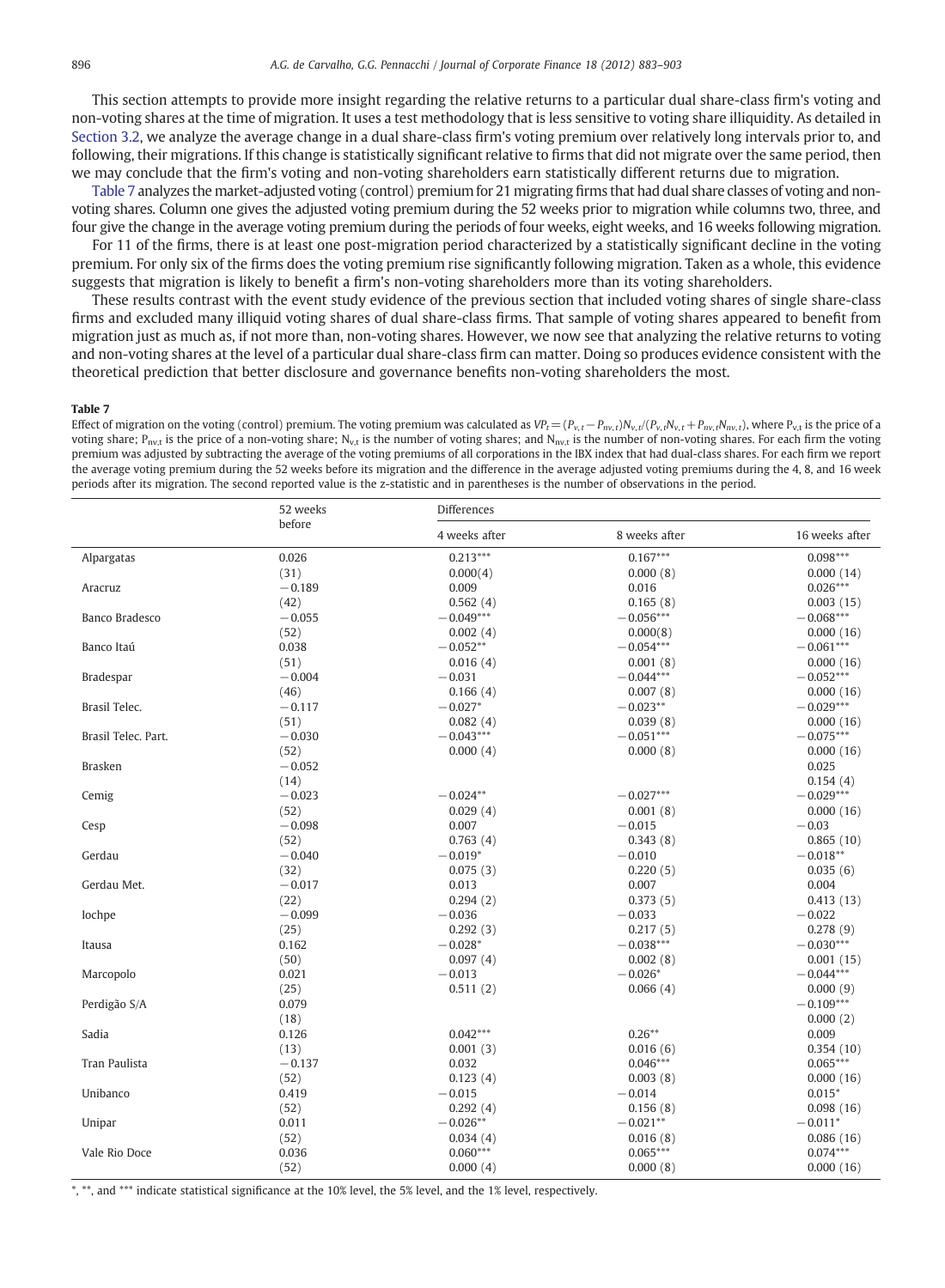This section attempts to provide more insight regarding the relative returns to a particular dual share-class firm's voting and non-voting shares at the time of migration. It uses a test methodology that is less sensitive to voting share illiquidity. As detailed in [Section 3.2,](#page-6-0) we analyze the average change in a dual share-class firm's voting premium over relatively long intervals prior to, and following, their migrations. If this change is statistically significant relative to firms that did not migrate over the same period, then we may conclude that the firm's voting and non-voting shareholders earn statistically different returns due to migration.

Table 7 analyzes the market-adjusted voting (control) premium for 21 migrating firms that had dual share classes of voting and nonvoting shares. Column one gives the adjusted voting premium during the 52 weeks prior to migration while columns two, three, and four give the change in the average voting premium during the periods of four weeks, eight weeks, and 16 weeks following migration.

For 11 of the firms, there is at least one post-migration period characterized by a statistically significant decline in the voting premium. For only six of the firms does the voting premium rise significantly following migration. Taken as a whole, this evidence suggests that migration is likely to benefit a firm's non-voting shareholders more than its voting shareholders.

These results contrast with the event study evidence of the previous section that included voting shares of single share-class firms and excluded many illiquid voting shares of dual share-class firms. That sample of voting shares appeared to benefit from migration just as much as, if not more than, non-voting shares. However, we now see that analyzing the relative returns to voting and non-voting shares at the level of a particular dual share-class firm can matter. Doing so produces evidence consistent with the theoretical prediction that better disclosure and governance benefits non-voting shareholders the most.

#### Table 7

Effect of migration on the voting (control) premium. The voting premium was calculated as  $VP_t = (P_{v,t} - P_{nv,t})N_{v,t}/(P_{v,t}N_{v,t} + P_{nv,t}N_{nv,t})$ , where  $P_{v,t}$  is the price of a voting share; P<sub>nv,t</sub> is the price of a non-voting share; N<sub>v,t</sub> is the number of voting shares; and N<sub>nv,t</sub> is the number of non-voting shares. For each firm the voting premium was adjusted by subtracting the average of the voting premiums of all corporations in the IBX index that had dual-class shares. For each firm we report the average voting premium during the 52 weeks before its migration and the difference in the average adjusted voting premiums during the 4, 8, and 16 week periods after its migration. The second reported value is the z-statistic and in parentheses is the number of observations in the period.

|                     | 52 weeks | Differences   |               |                |
|---------------------|----------|---------------|---------------|----------------|
|                     | before   | 4 weeks after | 8 weeks after | 16 weeks after |
| Alpargatas          | 0.026    | $0.213***$    | $0.167***$    | $0.098***$     |
|                     | (31)     | 0.000(4)      | 0.000(8)      | 0.000(14)      |
| Aracruz             | $-0.189$ | 0.009         | 0.016         | $0.026***$     |
|                     | (42)     | 0.562(4)      | 0.165(8)      | 0.003(15)      |
| Banco Bradesco      | $-0.055$ | $-0.049***$   | $-0.056***$   | $-0.068***$    |
|                     | (52)     | 0.002(4)      | 0.000(8)      | 0.000(16)      |
| Banco Itaú          | 0.038    | $-0.052**$    | $-0.054***$   | $-0.061***$    |
|                     | (51)     | 0.016(4)      | 0.001(8)      | 0.000(16)      |
| Bradespar           | $-0.004$ | $-0.031$      | $-0.044***$   | $-0.052***$    |
|                     | (46)     | 0.166(4)      | 0.007(8)      | 0.000(16)      |
| Brasil Telec.       | $-0.117$ | $-0.027*$     | $-0.023**$    | $-0.029***$    |
|                     | (51)     | 0.082(4)      | 0.039(8)      | 0.000(16)      |
| Brasil Telec. Part. | $-0.030$ | $-0.043***$   | $-0.051***$   | $-0.075***$    |
|                     | (52)     | 0.000(4)      | 0.000(8)      | 0.000(16)      |
| <b>Brasken</b>      | $-0.052$ |               |               | 0.025          |
|                     | (14)     |               |               | 0.154(4)       |
| Cemig               | $-0.023$ | $-0.024**$    | $-0.027***$   | $-0.029***$    |
|                     | (52)     | 0.029(4)      | 0.001(8)      | 0.000(16)      |
| Cesp                | $-0.098$ | 0.007         | $-0.015$      | $-0.03$        |
|                     | (52)     | 0.763(4)      | 0.343(8)      | 0.865(10)      |
| Gerdau              | $-0.040$ | $-0.019*$     | $-0.010$      | $-0.018**$     |
|                     | (32)     | 0.075(3)      | 0.220(5)      | 0.035(6)       |
| Gerdau Met.         | $-0.017$ | 0.013         | 0.007         | 0.004          |
|                     | (22)     | 0.294(2)      | 0.373(5)      | 0.413(13)      |
| Iochpe              | $-0.099$ | $-0.036$      | $-0.033$      | $-0.022$       |
|                     | (25)     | 0.292(3)      | 0.217(5)      | 0.278(9)       |
| Itausa              | 0.162    | $-0.028*$     | $-0.038***$   | $-0.030***$    |
|                     | (50)     | 0.097(4)      | 0.002(8)      | 0.001(15)      |
| Marcopolo           | 0.021    | $-0.013$      | $-0.026*$     | $-0.044***$    |
|                     | (25)     | 0.511(2)      | 0.066(4)      | 0.000(9)       |
| Perdigão S/A        | 0.079    |               |               | $-0.109***$    |
|                     | (18)     |               |               | 0.000(2)       |
| Sadia               | 0.126    | $0.042***$    | $0.26***$     | 0.009          |
|                     | (13)     | 0.001(3)      | 0.016(6)      | 0.354(10)      |
| Tran Paulista       | $-0.137$ | 0.032         | $0.046***$    | $0.065***$     |
|                     | (52)     | 0.123(4)      | 0.003(8)      | 0.000(16)      |
| Unibanco            | 0.419    | $-0.015$      | $-0.014$      | $0.015*$       |
|                     | (52)     | 0.292(4)      | 0.156(8)      | 0.098(16)      |
| Unipar              | 0.011    | $-0.026**$    | $-0.021**$    | $-0.011*$      |
|                     | (52)     | 0.034(4)      | 0.016(8)      | 0.086(16)      |
| Vale Rio Doce       | 0.036    | $0.060***$    | $0.065***$    | $0.074***$     |
|                     | (52)     | 0.000(4)      | 0.000(8)      | 0.000(16)      |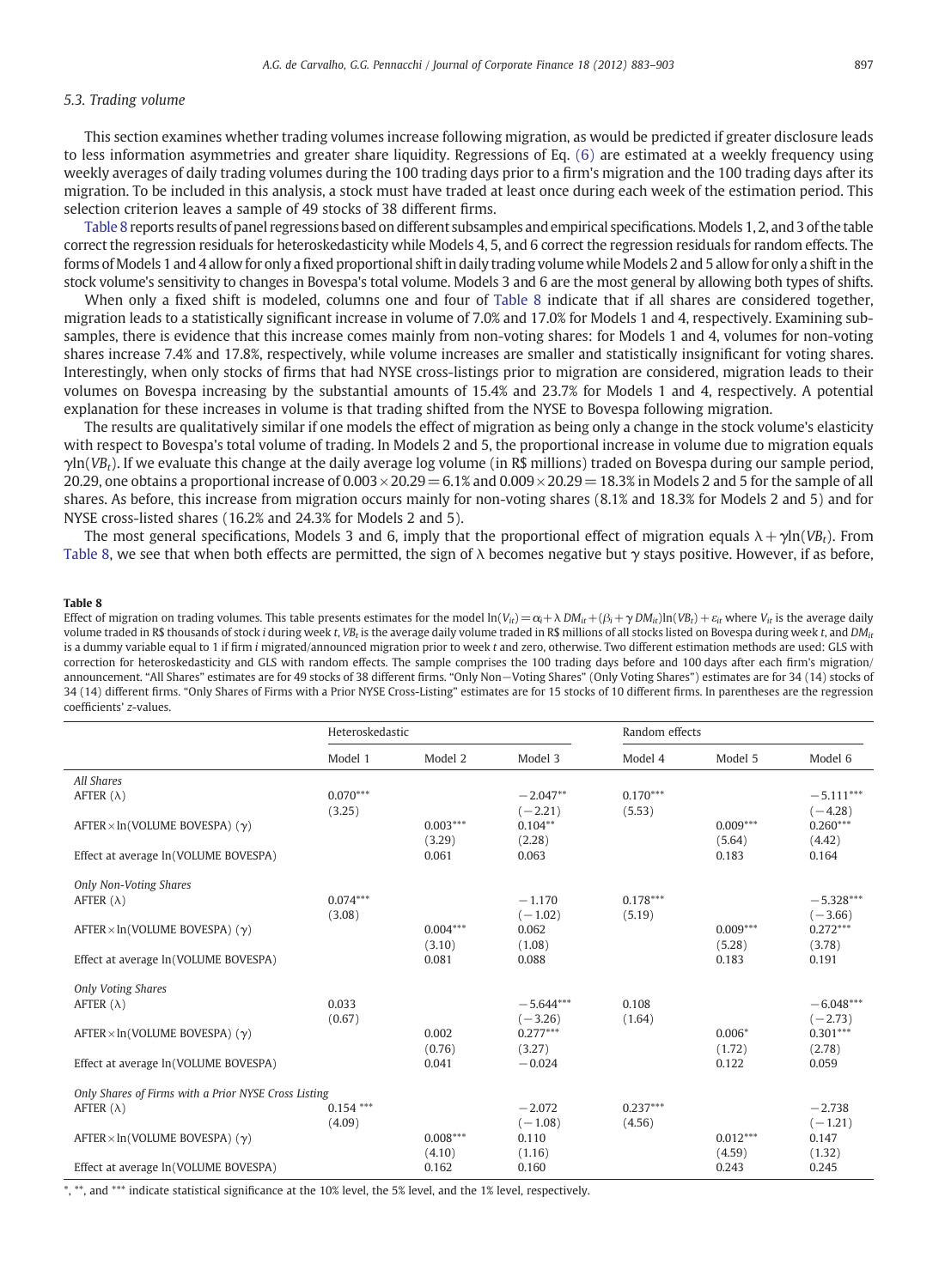# <span id="page-14-0"></span>5.3. Trading volume

This section examines whether trading volumes increase following migration, as would be predicted if greater disclosure leads to less information asymmetries and greater share liquidity. Regressions of Eq. [\(6\)](#page-7-0) are estimated at a weekly frequency using weekly averages of daily trading volumes during the 100 trading days prior to a firm's migration and the 100 trading days after its migration. To be included in this analysis, a stock must have traded at least once during each week of the estimation period. This selection criterion leaves a sample of 49 stocks of 38 different firms.

Table 8 reports results of panel regressions based on different subsamples and empirical specifications. Models 1, 2, and 3 of the table correct the regression residuals for heteroskedasticity while Models 4, 5, and 6 correct the regression residuals for random effects. The forms of Models 1 and 4 allow for only a fixed proportional shift in daily trading volume while Models 2 and 5 allow for only a shift in the stock volume's sensitivity to changes in Bovespa's total volume. Models 3 and 6 are the most general by allowing both types of shifts.

When only a fixed shift is modeled, columns one and four of Table 8 indicate that if all shares are considered together, migration leads to a statistically significant increase in volume of 7.0% and 17.0% for Models 1 and 4, respectively. Examining subsamples, there is evidence that this increase comes mainly from non-voting shares: for Models 1 and 4, volumes for non-voting shares increase 7.4% and 17.8%, respectively, while volume increases are smaller and statistically insignificant for voting shares. Interestingly, when only stocks of firms that had NYSE cross-listings prior to migration are considered, migration leads to their volumes on Bovespa increasing by the substantial amounts of 15.4% and 23.7% for Models 1 and 4, respectively. A potential explanation for these increases in volume is that trading shifted from the NYSE to Bovespa following migration.

The results are qualitatively similar if one models the effect of migration as being only a change in the stock volume's elasticity with respect to Bovespa's total volume of trading. In Models 2 and 5, the proportional increase in volume due to migration equals  $\gamma$ ln(VB<sub>t</sub>). If we evaluate this change at the daily average log volume (in R\$ millions) traded on Bovespa during our sample period, 20.29, one obtains a proportional increase of  $0.003 \times 20.29 = 6.1\%$  and  $0.009 \times 20.29 = 18.3\%$  in Models 2 and 5 for the sample of all shares. As before, this increase from migration occurs mainly for non-voting shares (8.1% and 18.3% for Models 2 and 5) and for NYSE cross-listed shares (16.2% and 24.3% for Models 2 and 5).

The most general specifications, Models 3 and 6, imply that the proportional effect of migration equals  $\lambda + \gamma \ln(VB_t)$ . From Table 8, we see that when both effects are permitted, the sign of  $\lambda$  becomes negative but  $\gamma$  stays positive. However, if as before,

#### Table 8

Effect of migration on trading volumes. This table presents estimates for the model  $\ln(V_{it}) = \alpha_i + \lambda DM_{it} + (\beta_i + \gamma DM_{it})\ln(VB_t) + \varepsilon_{it}$  where  $V_{it}$  is the average daily volume traded in R\$ thousands of stock i during week t, VB<sub>t</sub> is the average daily volume traded in R\$ millions of all stocks listed on Bovespa during week t, and  $DM_{it}$ is a dummy variable equal to 1 if firm i migrated/announced migration prior to week t and zero, otherwise. Two different estimation methods are used: GLS with correction for heteroskedasticity and GLS with random effects. The sample comprises the 100 trading days before and 100 days after each firm's migration/ announcement. "All Shares" estimates are for 49 stocks of 38 different firms. "Only Non−Voting Shares" (Only Voting Shares") estimates are for 34 (14) stocks of 34 (14) different firms. "Only Shares of Firms with a Prior NYSE Cross-Listing" estimates are for 15 stocks of 10 different firms. In parentheses are the regression coefficients' z-values.

|                                                                                                                                                                 | Heteroskedastic       |                               |                                                              | Random effects       |                               |                                                           |
|-----------------------------------------------------------------------------------------------------------------------------------------------------------------|-----------------------|-------------------------------|--------------------------------------------------------------|----------------------|-------------------------------|-----------------------------------------------------------|
|                                                                                                                                                                 | Model 1               | Model 2                       | Model 3                                                      | Model 4              | Model 5                       | Model 6                                                   |
| All Shares<br>AFTER $(\lambda)$<br>$AFTER \times In(VOLUME BOVESPA)$ ( $\gamma$ )<br>Effect at average ln(VOLUME BOVESPA)                                       | $0.070***$<br>(3.25)  | $0.003***$<br>(3.29)<br>0.061 | $-2.047**$<br>$(-2.21)$<br>$0.104**$<br>(2.28)<br>0.063      | $0.170***$<br>(5.53) | $0.009***$<br>(5.64)<br>0.183 | $-5.111***$<br>$(-4.28)$<br>$0.260***$<br>(4.42)<br>0.164 |
| <b>Only Non-Voting Shares</b><br>AFTER $(\lambda)$<br>$A$ FTER × ln(VOLUME BOVESPA) ( $\gamma$ )<br>Effect at average ln(VOLUME BOVESPA)                        | $0.074***$<br>(3.08)  | $0.004***$<br>(3.10)<br>0.081 | $-1.170$<br>$(-1.02)$<br>0.062<br>(1.08)<br>0.088            | $0.178***$<br>(5.19) | $0.009***$<br>(5.28)<br>0.183 | $-5.328***$<br>$(-3.66)$<br>$0.272***$<br>(3.78)<br>0.191 |
| <b>Only Voting Shares</b><br>AFTER $(\lambda)$<br>$AFTER \times In(VOLUME BOVESPA)$ ( $\gamma$ )<br>Effect at average ln(VOLUME BOVESPA)                        | 0.033<br>(0.67)       | 0.002<br>(0.76)<br>0.041      | $-5.644***$<br>$(-3.26)$<br>$0.277***$<br>(3.27)<br>$-0.024$ | 0.108<br>(1.64)      | $0.006*$<br>(1.72)<br>0.122   | $-6.048***$<br>$(-2.73)$<br>$0.301***$<br>(2.78)<br>0.059 |
| Only Shares of Firms with a Prior NYSE Cross Listing<br>AFTER $(\lambda)$<br>$A$ FTER × ln(VOLUME BOVESPA) ( $\gamma$ )<br>Effect at average ln(VOLUME BOVESPA) | $0.154$ ***<br>(4.09) | $0.008***$<br>(4.10)<br>0.162 | $-2.072$<br>$(-1.08)$<br>0.110<br>(1.16)<br>0.160            | $0.237***$<br>(4.56) | $0.012***$<br>(4.59)<br>0.243 | $-2.738$<br>$(-1.21)$<br>0.147<br>(1.32)<br>0.245         |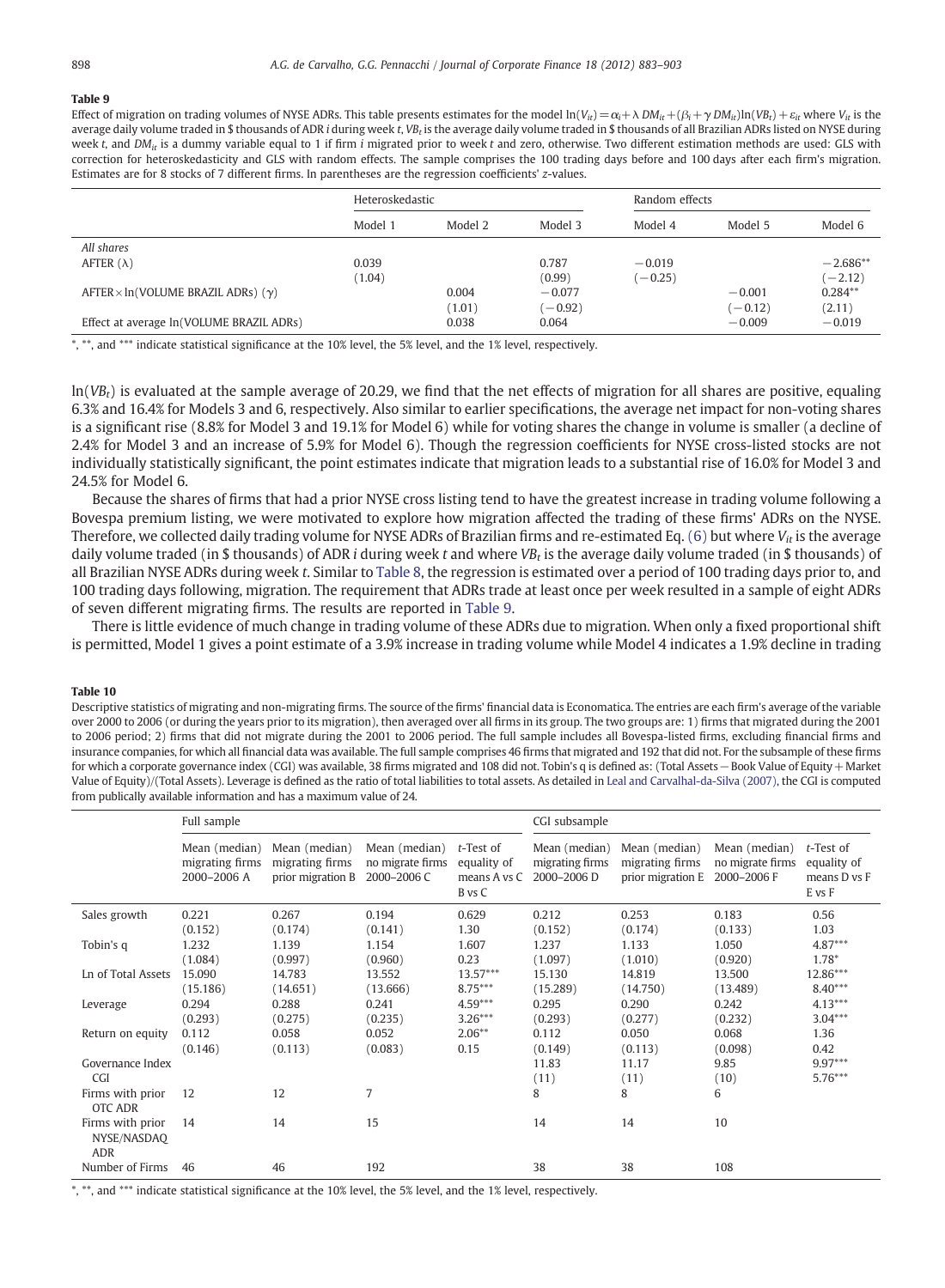<span id="page-15-0"></span>Effect of migration on trading volumes of NYSE ADRs. This table presents estimates for the model  $\ln(V_{it}) = \alpha_i + \lambda DM_{it} + (\beta_i + \gamma DM_{it})\ln(VB_t) + \varepsilon_{it}$  where  $V_{it}$  is the average daily volume traded in \$ thousands of ADR *i* during week t, VB, is the average daily volume traded in \$ thousands of all Brazilian ADRs listed on NYSE during week t, and  $DM_{it}$  is a dummy variable equal to 1 if firm i migrated prior to week t and zero, otherwise. Two different estimation methods are used: GLS with correction for heteroskedasticity and GLS with random effects. The sample comprises the 100 trading days before and 100 days after each firm's migration. Estimates are for 8 stocks of 7 different firms. In parentheses are the regression coefficients' z-values.

|                                                     | Heteroskedastic |         |          | Random effects |           |            |
|-----------------------------------------------------|-----------------|---------|----------|----------------|-----------|------------|
|                                                     | Model 1         | Model 2 | Model 3  | Model 4        | Model 5   | Model 6    |
| All shares                                          |                 |         |          |                |           |            |
| AFTER $(\lambda)$                                   | 0.039           |         | 0.787    | $-0.019$       |           | $-2.686**$ |
|                                                     | (1.04)          |         | (0.99)   | $(-0.25)$      |           | $-2.12)$   |
| AFTER $\times$ In (VOLUME BRAZIL ADRs) ( $\gamma$ ) |                 | 0.004   | $-0.077$ |                | $-0.001$  | $0.284**$  |
|                                                     |                 | (1.01)  | $-0.92)$ |                | $(-0.12)$ | (2.11)     |
| Effect at average ln(VOLUME BRAZIL ADRs)            |                 | 0.038   | 0.064    |                | $-0.009$  | $-0.019$   |

\*, \*\*, and \*\*\* indicate statistical significance at the 10% level, the 5% level, and the 1% level, respectively.

 $ln(VB_t)$  is evaluated at the sample average of 20.29, we find that the net effects of migration for all shares are positive, equaling 6.3% and 16.4% for Models 3 and 6, respectively. Also similar to earlier specifications, the average net impact for non-voting shares is a significant rise (8.8% for Model 3 and 19.1% for Model 6) while for voting shares the change in volume is smaller (a decline of 2.4% for Model 3 and an increase of 5.9% for Model 6). Though the regression coefficients for NYSE cross-listed stocks are not individually statistically significant, the point estimates indicate that migration leads to a substantial rise of 16.0% for Model 3 and 24.5% for Model 6.

Because the shares of firms that had a prior NYSE cross listing tend to have the greatest increase in trading volume following a Bovespa premium listing, we were motivated to explore how migration affected the trading of these firms' ADRs on the NYSE. Therefore, we collected daily trading volume for NYSE ADRs of Brazilian firms and re-estimated Eq. [\(6\)](#page-7-0) but where  $V_{it}$  is the average daily volume traded (in \$ thousands) of ADR *i* during week t and where VB<sub>t</sub> is the average daily volume traded (in \$ thousands) of all Brazilian NYSE ADRs during week t. Similar to [Table 8,](#page-14-0) the regression is estimated over a period of 100 trading days prior to, and 100 trading days following, migration. The requirement that ADRs trade at least once per week resulted in a sample of eight ADRs of seven different migrating firms. The results are reported in Table 9.

There is little evidence of much change in trading volume of these ADRs due to migration. When only a fixed proportional shift is permitted, Model 1 gives a point estimate of a 3.9% increase in trading volume while Model 4 indicates a 1.9% decline in trading

#### Table 10

Descriptive statistics of migrating and non-migrating firms. The source of the firms' financial data is Economatica. The entries are each firm's average of the variable over 2000 to 2006 (or during the years prior to its migration), then averaged over all firms in its group. The two groups are: 1) firms that migrated during the 2001 to 2006 period; 2) firms that did not migrate during the 2001 to 2006 period. The full sample includes all Bovespa-listed firms, excluding financial firms and insurance companies, for which all financial data was available. The full sample comprises 46 firms that migrated and 192 that did not. For the subsample of these firms for which a corporate governance index (CGI) was available, 38 firms migrated and 108 did not. Tobin's q is defined as: (Total Assets−Book Value of Equity+Market Value of Equity)/(Total Assets). Leverage is defined as the ratio of total liabilities to total assets. As detailed in [Leal and Carvalhal-da-Silva \(2007\)](#page-20-0), the CGI is computed from publically available information and has a maximum value of 24.

|                                               | Full sample                                     |                                                       |                                                  |                                                    | CGI subsample                                   |                                                       |                                                  |                                                    |
|-----------------------------------------------|-------------------------------------------------|-------------------------------------------------------|--------------------------------------------------|----------------------------------------------------|-------------------------------------------------|-------------------------------------------------------|--------------------------------------------------|----------------------------------------------------|
|                                               | Mean (median)<br>migrating firms<br>2000-2006 A | Mean (median)<br>migrating firms<br>prior migration B | Mean (median)<br>no migrate firms<br>2000-2006 C | t-Test of<br>equality of<br>means A vs C<br>B vs C | Mean (median)<br>migrating firms<br>2000-2006 D | Mean (median)<br>migrating firms<br>prior migration E | Mean (median)<br>no migrate firms<br>2000-2006 F | t-Test of<br>equality of<br>means D vs F<br>E vs F |
| Sales growth                                  | 0.221                                           | 0.267                                                 | 0.194                                            | 0.629                                              | 0.212                                           | 0.253                                                 | 0.183                                            | 0.56                                               |
|                                               | (0.152)                                         | (0.174)                                               | (0.141)                                          | 1.30                                               | (0.152)                                         | (0.174)                                               | (0.133)                                          | 1.03                                               |
| Tobin's q                                     | 1.232                                           | 1.139                                                 | 1.154                                            | 1.607                                              | 1.237                                           | 1.133                                                 | 1.050                                            | $4.87***$                                          |
|                                               | (1.084)                                         | (0.997)                                               | (0.960)                                          | 0.23                                               | (1.097)                                         | (1.010)                                               | (0.920)                                          | $1.78*$                                            |
| Ln of Total Assets                            | 15.090                                          | 14.783                                                | 13.552                                           | $13.57***$                                         | 15.130                                          | 14.819                                                | 13.500                                           | 12.86***                                           |
|                                               | (15.186)                                        | (14.651)                                              | (13.666)                                         | $8.75***$                                          | (15.289)                                        | (14.750)                                              | (13.489)                                         | $8.40***$                                          |
| Leverage                                      | 0.294                                           | 0.288                                                 | 0.241                                            | $4.59***$                                          | 0.295                                           | 0.290                                                 | 0.242                                            | $4.13***$                                          |
|                                               | (0.293)                                         | (0.275)                                               | (0.235)                                          | $3.26***$                                          | (0.293)                                         | (0.277)                                               | (0.232)                                          | $3.04***$                                          |
| Return on equity                              | 0.112                                           | 0.058                                                 | 0.052                                            | $2.06***$                                          | 0.112                                           | 0.050                                                 | 0.068                                            | 1.36                                               |
|                                               | (0.146)                                         | (0.113)                                               | (0.083)                                          | 0.15                                               | (0.149)                                         | (0.113)                                               | (0.098)                                          | 0.42                                               |
| Governance Index                              |                                                 |                                                       |                                                  |                                                    | 11.83                                           | 11.17                                                 | 9.85                                             | $9.97***$                                          |
| <b>CGI</b>                                    |                                                 |                                                       |                                                  |                                                    | (11)                                            | (11)                                                  | (10)                                             | $5.76***$                                          |
| Firms with prior<br><b>OTC ADR</b>            | 12                                              | 12                                                    | 7                                                |                                                    | 8                                               | 8                                                     | 6                                                |                                                    |
| Firms with prior<br>NYSE/NASDAQ<br><b>ADR</b> | 14                                              | 14                                                    | 15                                               |                                                    | 14                                              | 14                                                    | 10                                               |                                                    |
| Number of Firms                               | 46                                              | 46                                                    | 192                                              |                                                    | 38                                              | 38                                                    | 108                                              |                                                    |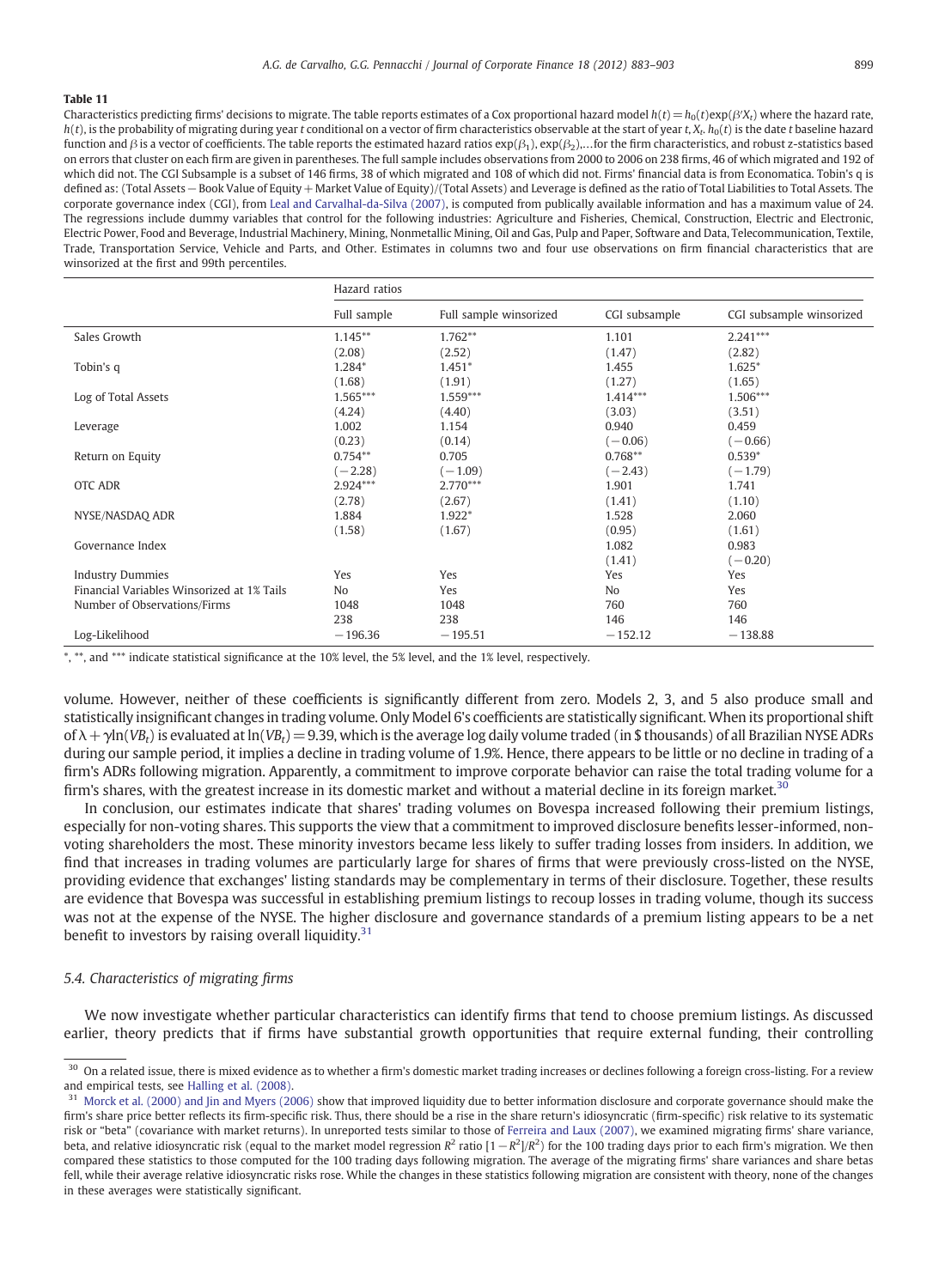<span id="page-16-0"></span>Characteristics predicting firms' decisions to migrate. The table reports estimates of a Cox proportional hazard model  $h(t) = h_0(t) \exp(\beta X_t)$  where the hazard rate,  $h(t)$ , is the probability of migrating during year t conditional on a vector of firm characteristics observable at the start of year t,  $X_h h_0(t)$  is the date t baseline hazard function and β is a vector of coefficients. The table reports the estimated hazard ratios  $exp(\beta_1)$ ,  $exp(\beta_2)$ ,... for the firm characteristics, and robust z-statistics based on errors that cluster on each firm are given in parentheses. The full sample includes observations from 2000 to 2006 on 238 firms, 46 of which migrated and 192 of which did not. The CGI Subsample is a subset of 146 firms, 38 of which migrated and 108 of which did not. Firms' financial data is from Economatica. Tobin's q is defined as: (Total Assets−Book Value of Equity+Market Value of Equity)/(Total Assets) and Leverage is defined as the ratio of Total Liabilities to Total Assets. The corporate governance index (CGI), from [Leal and Carvalhal-da-Silva \(2007\),](#page-20-0) is computed from publically available information and has a maximum value of 24. The regressions include dummy variables that control for the following industries: Agriculture and Fisheries, Chemical, Construction, Electric and Electronic, Electric Power, Food and Beverage, Industrial Machinery, Mining, Nonmetallic Mining, Oil and Gas, Pulp and Paper, Software and Data, Telecommunication, Textile, Trade, Transportation Service, Vehicle and Parts, and Other. Estimates in columns two and four use observations on firm financial characteristics that are winsorized at the first and 99th percentiles.

|                                            | Hazard ratios |                        |               |                          |
|--------------------------------------------|---------------|------------------------|---------------|--------------------------|
|                                            | Full sample   | Full sample winsorized | CGI subsample | CGI subsample winsorized |
| Sales Growth                               | $1.145***$    | $1.762**$              | 1.101         | $2.241***$               |
|                                            | (2.08)        | (2.52)                 | (1.47)        | (2.82)                   |
| Tobin's q                                  | 1.284*        | $1.451*$               | 1.455         | $1.625*$                 |
|                                            | (1.68)        | (1.91)                 | (1.27)        | (1.65)                   |
| Log of Total Assets                        | $1.565***$    | $1.559***$             | $1.414***$    | 1.506***                 |
|                                            | (4.24)        | (4.40)                 | (3.03)        | (3.51)                   |
| Leverage                                   | 1.002         | 1.154                  | 0.940         | 0.459                    |
|                                            | (0.23)        | (0.14)                 | $(-0.06)$     | $(-0.66)$                |
| Return on Equity                           | $0.754**$     | 0.705                  | $0.768**$     | $0.539*$                 |
|                                            | $(-2.28)$     | $(-1.09)$              | $(-2.43)$     | $(-1.79)$                |
| OTC ADR                                    | 2.924***      | $2.770***$             | 1.901         | 1.741                    |
|                                            | (2.78)        | (2.67)                 | (1.41)        | (1.10)                   |
| NYSE/NASDAQ ADR                            | 1.884         | $1.922*$               | 1.528         | 2.060                    |
|                                            | (1.58)        | (1.67)                 | (0.95)        | (1.61)                   |
| Governance Index                           |               |                        | 1.082         | 0.983                    |
|                                            |               |                        | (1.41)        | $(-0.20)$                |
| <b>Industry Dummies</b>                    | Yes           | Yes                    | Yes           | Yes                      |
| Financial Variables Winsorized at 1% Tails | No            | Yes                    | No            | Yes                      |
| Number of Observations/Firms               | 1048          | 1048                   | 760           | 760                      |
|                                            | 238           | 238                    | 146           | 146                      |
| Log-Likelihood                             | $-196.36$     | $-195.51$              | $-152.12$     | $-138.88$                |

\*, \*\*, and \*\*\* indicate statistical significance at the 10% level, the 5% level, and the 1% level, respectively.

volume. However, neither of these coefficients is significantly different from zero. Models 2, 3, and 5 also produce small and statistically insignificant changes in trading volume. Only Model 6's coefficients are statistically significant. When its proportional shift of  $\lambda + \gamma$ ln(VB<sub>t</sub>) is evaluated at ln(VB<sub>t</sub>) = 9.39, which is the average log daily volume traded (in \$ thousands) of all Brazilian NYSE ADRs during our sample period, it implies a decline in trading volume of 1.9%. Hence, there appears to be little or no decline in trading of a firm's ADRs following migration. Apparently, a commitment to improve corporate behavior can raise the total trading volume for a firm's shares, with the greatest increase in its domestic market and without a material decline in its foreign market.<sup>30</sup>

In conclusion, our estimates indicate that shares' trading volumes on Bovespa increased following their premium listings, especially for non-voting shares. This supports the view that a commitment to improved disclosure benefits lesser-informed, nonvoting shareholders the most. These minority investors became less likely to suffer trading losses from insiders. In addition, we find that increases in trading volumes are particularly large for shares of firms that were previously cross-listed on the NYSE, providing evidence that exchanges' listing standards may be complementary in terms of their disclosure. Together, these results are evidence that Bovespa was successful in establishing premium listings to recoup losses in trading volume, though its success was not at the expense of the NYSE. The higher disclosure and governance standards of a premium listing appears to be a net benefit to investors by raising overall liquidity. $31$ 

#### 5.4. Characteristics of migrating firms

We now investigate whether particular characteristics can identify firms that tend to choose premium listings. As discussed earlier, theory predicts that if firms have substantial growth opportunities that require external funding, their controlling

<sup>&</sup>lt;sup>30</sup> On a related issue, there is mixed evidence as to whether a firm's domestic market trading increases or declines following a foreign cross-listing. For a review and empirical tests, see [Halling et al. \(2008\).](#page-20-0)

<sup>&</sup>lt;sup>31</sup> [Morck et al. \(2000\) and Jin and Myers \(2006\)](#page-20-0) show that improved liquidity due to better information disclosure and corporate governance should make the firm's share price better reflects its firm-specific risk. Thus, there should be a rise in the share return's idiosyncratic (firm-specific) risk relative to its systematic risk or "beta" (covariance with market returns). In unreported tests similar to those of [Ferreira and Laux \(2007\),](#page-20-0) we examined migrating firms' share variance, beta, and relative idiosyncratic risk (equal to the market model regression  $R^2$  ratio [1 $-R^2\rfloor/R^2$ ) for the 100 trading days prior to each firm's migration. We then compared these statistics to those computed for the 100 trading days following migration. The average of the migrating firms' share variances and share betas fell, while their average relative idiosyncratic risks rose. While the changes in these statistics following migration are consistent with theory, none of the changes in these averages were statistically significant.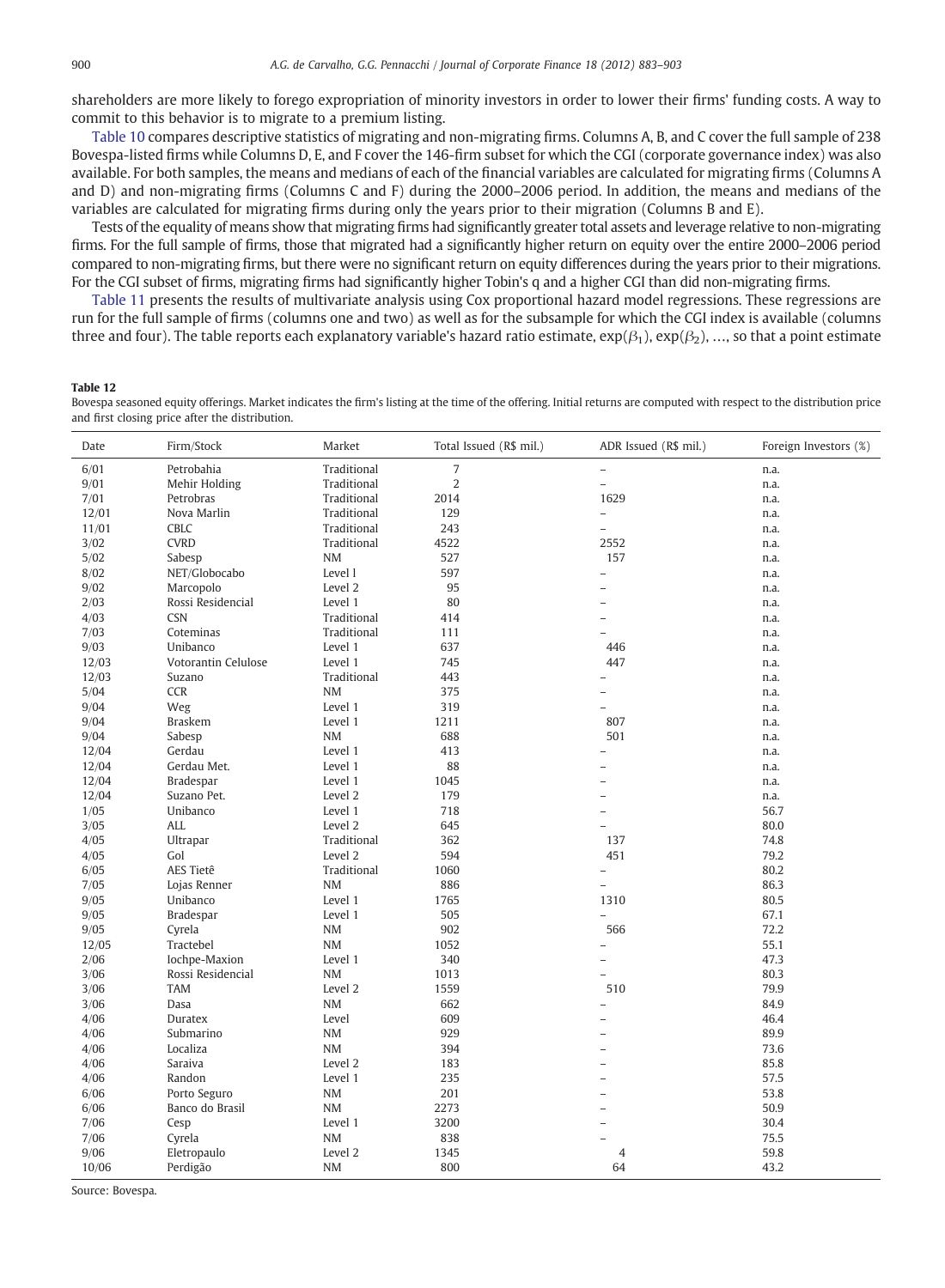<span id="page-17-0"></span>shareholders are more likely to forego expropriation of minority investors in order to lower their firms' funding costs. A way to commit to this behavior is to migrate to a premium listing.

[Table 10](#page-15-0) compares descriptive statistics of migrating and non-migrating firms. Columns A, B, and C cover the full sample of 238 Bovespa-listed firms while Columns D, E, and F cover the 146-firm subset for which the CGI (corporate governance index) was also available. For both samples, the means and medians of each of the financial variables are calculated for migrating firms (Columns A and D) and non-migrating firms (Columns C and F) during the 2000–2006 period. In addition, the means and medians of the variables are calculated for migrating firms during only the years prior to their migration (Columns B and E).

Tests of the equality of means show that migrating firms had significantly greater total assets and leverage relative to non-migrating firms. For the full sample of firms, those that migrated had a significantly higher return on equity over the entire 2000–2006 period compared to non-migrating firms, but there were no significant return on equity differences during the years prior to their migrations. For the CGI subset of firms, migrating firms had significantly higher Tobin's q and a higher CGI than did non-migrating firms.

[Table 11](#page-16-0) presents the results of multivariate analysis using Cox proportional hazard model regressions. These regressions are run for the full sample of firms (columns one and two) as well as for the subsample for which the CGI index is available (columns three and four). The table reports each explanatory variable's hazard ratio estimate,  $\exp(\beta_1)$ ,  $\exp(\beta_2)$ , ..., so that a point estimate

### Table 12

Bovespa seasoned equity offerings. Market indicates the firm's listing at the time of the offering. Initial returns are computed with respect to the distribution price and first closing price after the distribution.

| Date  | Firm/Stock          | Market          | Total Issued (R\$ mil.) | ADR Issued (R\$ mil.)    | Foreign Investors (%) |
|-------|---------------------|-----------------|-------------------------|--------------------------|-----------------------|
| 6/01  | Petrobahia          | Traditional     | $\overline{7}$          | $\overline{\phantom{0}}$ | n.a.                  |
| 9/01  | Mehir Holding       | Traditional     | $\overline{2}$          | $\overline{\phantom{0}}$ | n.a.                  |
| 7/01  | Petrobras           | Traditional     | 2014                    | 1629                     | n.a.                  |
| 12/01 | Nova Marlin         | Traditional     | 129                     | $\overline{a}$           | n.a.                  |
| 11/01 | CBLC                | Traditional     | 243                     | $\overline{a}$           | n.a.                  |
| 3/02  | <b>CVRD</b>         | Traditional     | 4522                    | 2552                     | n.a.                  |
| 5/02  | Sabesp              | NM              | 527                     | 157                      | n.a.                  |
| 8/02  | NET/Globocabo       | Level 1         | 597                     | $\overline{a}$           | n.a.                  |
| 9/02  | Marcopolo           | Level 2         | 95                      | $\overline{a}$           | n.a.                  |
| 2/03  | Rossi Residencial   | Level 1         | 80                      |                          | n.a.                  |
| 4/03  | <b>CSN</b>          | Traditional     | 414                     |                          | n.a.                  |
| 7/03  | Coteminas           | Traditional     | 111                     |                          | n.a.                  |
| 9/03  | Unibanco            | Level 1         | 637                     | 446                      | n.a.                  |
| 12/03 | Votorantin Celulose | Level 1         | 745                     | 447                      | n.a.                  |
| 12/03 | Suzano              | Traditional     | 443                     |                          | n.a.                  |
| 5/04  | <b>CCR</b>          | <b>NM</b>       | 375                     | $\overline{a}$           | n.a.                  |
| 9/04  | Weg                 | Level 1         | 319                     | $\overline{a}$           | n.a.                  |
| 9/04  | <b>Braskem</b>      | Level 1         | 1211                    | 807                      | n.a.                  |
| 9/04  | Sabesp              | <b>NM</b>       | 688                     | 501                      | n.a.                  |
| 12/04 | Gerdau              | Level 1         | 413                     |                          | n.a.                  |
| 12/04 | Gerdau Met.         | Level 1         | 88                      | $\overline{a}$           | n.a.                  |
| 12/04 | <b>Bradespar</b>    | Level 1         | 1045                    | $\overline{a}$           | n.a.                  |
| 12/04 | Suzano Pet.         | Level 2         | 179                     |                          | n.a.                  |
| 1/05  | Unibanco            | Level 1         | 718                     |                          | 56.7                  |
| 3/05  | ALL                 | Level 2         | 645                     | $\overline{a}$           | 80.0                  |
| 4/05  | Ultrapar            | Traditional     | 362                     | 137                      | 74.8                  |
| 4/05  | Gol                 | Level 2         | 594                     | 451                      | 79.2                  |
| 6/05  | AES Tietê           | Traditional     | 1060                    | $\overline{a}$           | 80.2                  |
| 7/05  | Lojas Renner        | <b>NM</b>       | 886                     | $\overline{a}$           | 86.3                  |
| 9/05  | Unibanco            | Level 1         | 1765                    | 1310                     | 80.5                  |
| 9/05  | <b>Bradespar</b>    | Level 1         | 505                     | $\overline{a}$           | 67.1                  |
| 9/05  | Cyrela              | <b>NM</b>       | 902                     | 566                      | 72.2                  |
| 12/05 | Tractebel           | <b>NM</b>       | 1052                    |                          | 55.1                  |
| 2/06  | Iochpe-Maxion       | Level 1         | 340                     |                          | 47.3                  |
| 3/06  | Rossi Residencial   | <b>NM</b>       | 1013                    | $\overline{a}$           | 80.3                  |
| 3/06  | <b>TAM</b>          | Level 2         | 1559                    | 510                      | 79.9                  |
| 3/06  | Dasa                | NM              | 662                     |                          | 84.9                  |
| 4/06  | Duratex             | Level           | 609                     |                          | 46.4                  |
| 4/06  | Submarino           | <b>NM</b>       | 929                     |                          | 89.9                  |
| 4/06  | Localiza            | <b>NM</b>       | 394                     | $\overline{a}$           | 73.6                  |
| 4/06  | Saraiva             | Level 2         | 183                     | $\overline{a}$           | 85.8                  |
| 4/06  | Randon              | Level 1         | 235                     | -                        | 57.5                  |
| 6/06  | Porto Seguro        | $\textsf{NM}{}$ | 201                     |                          | 53.8                  |
| 6/06  | Banco do Brasil     | <b>NM</b>       | 2273                    | -                        | 50.9                  |
| 7/06  | Cesp                | Level 1         | 3200                    |                          | 30.4                  |
|       |                     | NM              | 838                     |                          | 75.5                  |
| 7/06  | Cyrela              |                 |                         |                          |                       |
| 9/06  | Eletropaulo         | Level 2         | 1345                    | 4                        | 59.8                  |
| 10/06 | Perdigão            | <b>NM</b>       | 800                     | 64                       | 43.2                  |

Source: Bovespa.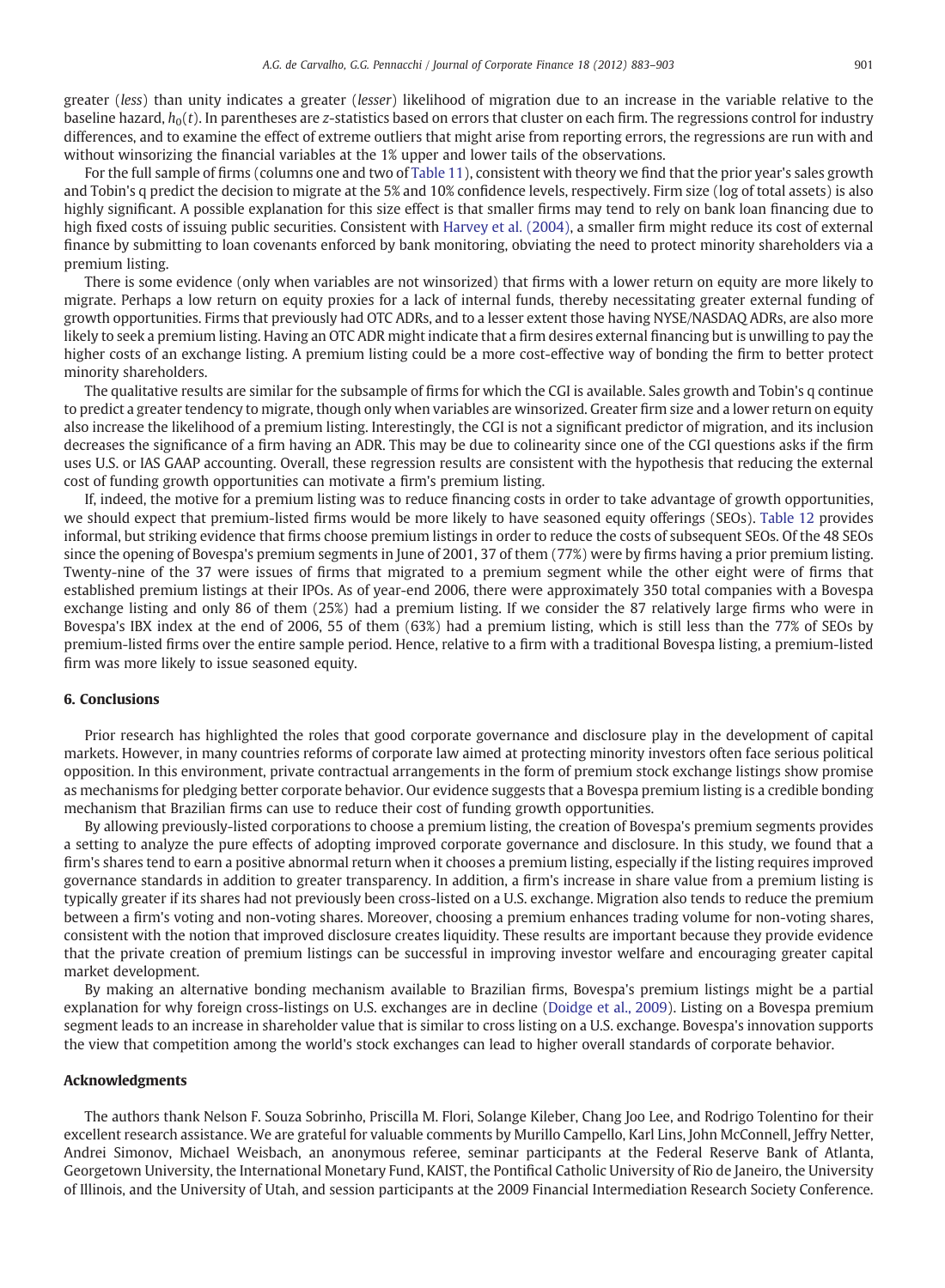<span id="page-18-0"></span>greater (less) than unity indicates a greater (lesser) likelihood of migration due to an increase in the variable relative to the baseline hazard,  $h<sub>0</sub>(t)$ . In parentheses are z-statistics based on errors that cluster on each firm. The regressions control for industry differences, and to examine the effect of extreme outliers that might arise from reporting errors, the regressions are run with and without winsorizing the financial variables at the 1% upper and lower tails of the observations.

For the full sample of firms (columns one and two of [Table 11](#page-16-0)), consistent with theory we find that the prior year's sales growth and Tobin's q predict the decision to migrate at the 5% and 10% confidence levels, respectively. Firm size (log of total assets) is also highly significant. A possible explanation for this size effect is that smaller firms may tend to rely on bank loan financing due to high fixed costs of issuing public securities. Consistent with [Harvey et al. \(2004\)](#page-20-0), a smaller firm might reduce its cost of external finance by submitting to loan covenants enforced by bank monitoring, obviating the need to protect minority shareholders via a premium listing.

There is some evidence (only when variables are not winsorized) that firms with a lower return on equity are more likely to migrate. Perhaps a low return on equity proxies for a lack of internal funds, thereby necessitating greater external funding of growth opportunities. Firms that previously had OTC ADRs, and to a lesser extent those having NYSE/NASDAQ ADRs, are also more likely to seek a premium listing. Having an OTC ADR might indicate that a firm desires external financing but is unwilling to pay the higher costs of an exchange listing. A premium listing could be a more cost-effective way of bonding the firm to better protect minority shareholders.

The qualitative results are similar for the subsample of firms for which the CGI is available. Sales growth and Tobin's q continue to predict a greater tendency to migrate, though only when variables are winsorized. Greater firm size and a lower return on equity also increase the likelihood of a premium listing. Interestingly, the CGI is not a significant predictor of migration, and its inclusion decreases the significance of a firm having an ADR. This may be due to colinearity since one of the CGI questions asks if the firm uses U.S. or IAS GAAP accounting. Overall, these regression results are consistent with the hypothesis that reducing the external cost of funding growth opportunities can motivate a firm's premium listing.

If, indeed, the motive for a premium listing was to reduce financing costs in order to take advantage of growth opportunities, we should expect that premium-listed firms would be more likely to have seasoned equity offerings (SEOs). [Table 12](#page-17-0) provides informal, but striking evidence that firms choose premium listings in order to reduce the costs of subsequent SEOs. Of the 48 SEOs since the opening of Bovespa's premium segments in June of 2001, 37 of them (77%) were by firms having a prior premium listing. Twenty-nine of the 37 were issues of firms that migrated to a premium segment while the other eight were of firms that established premium listings at their IPOs. As of year-end 2006, there were approximately 350 total companies with a Bovespa exchange listing and only 86 of them (25%) had a premium listing. If we consider the 87 relatively large firms who were in Bovespa's IBX index at the end of 2006, 55 of them (63%) had a premium listing, which is still less than the 77% of SEOs by premium-listed firms over the entire sample period. Hence, relative to a firm with a traditional Bovespa listing, a premium-listed firm was more likely to issue seasoned equity.

# 6. Conclusions

Prior research has highlighted the roles that good corporate governance and disclosure play in the development of capital markets. However, in many countries reforms of corporate law aimed at protecting minority investors often face serious political opposition. In this environment, private contractual arrangements in the form of premium stock exchange listings show promise as mechanisms for pledging better corporate behavior. Our evidence suggests that a Bovespa premium listing is a credible bonding mechanism that Brazilian firms can use to reduce their cost of funding growth opportunities.

By allowing previously-listed corporations to choose a premium listing, the creation of Bovespa's premium segments provides a setting to analyze the pure effects of adopting improved corporate governance and disclosure. In this study, we found that a firm's shares tend to earn a positive abnormal return when it chooses a premium listing, especially if the listing requires improved governance standards in addition to greater transparency. In addition, a firm's increase in share value from a premium listing is typically greater if its shares had not previously been cross-listed on a U.S. exchange. Migration also tends to reduce the premium between a firm's voting and non-voting shares. Moreover, choosing a premium enhances trading volume for non-voting shares, consistent with the notion that improved disclosure creates liquidity. These results are important because they provide evidence that the private creation of premium listings can be successful in improving investor welfare and encouraging greater capital market development.

By making an alternative bonding mechanism available to Brazilian firms, Bovespa's premium listings might be a partial explanation for why foreign cross-listings on U.S. exchanges are in decline ([Doidge et al., 2009](#page-19-0)). Listing on a Bovespa premium segment leads to an increase in shareholder value that is similar to cross listing on a U.S. exchange. Bovespa's innovation supports the view that competition among the world's stock exchanges can lead to higher overall standards of corporate behavior.

#### Acknowledgments

The authors thank Nelson F. Souza Sobrinho, Priscilla M. Flori, Solange Kileber, Chang Joo Lee, and Rodrigo Tolentino for their excellent research assistance. We are grateful for valuable comments by Murillo Campello, Karl Lins, John McConnell, Jeffry Netter, Andrei Simonov, Michael Weisbach, an anonymous referee, seminar participants at the Federal Reserve Bank of Atlanta, Georgetown University, the International Monetary Fund, KAIST, the Pontifical Catholic University of Rio de Janeiro, the University of Illinois, and the University of Utah, and session participants at the 2009 Financial Intermediation Research Society Conference.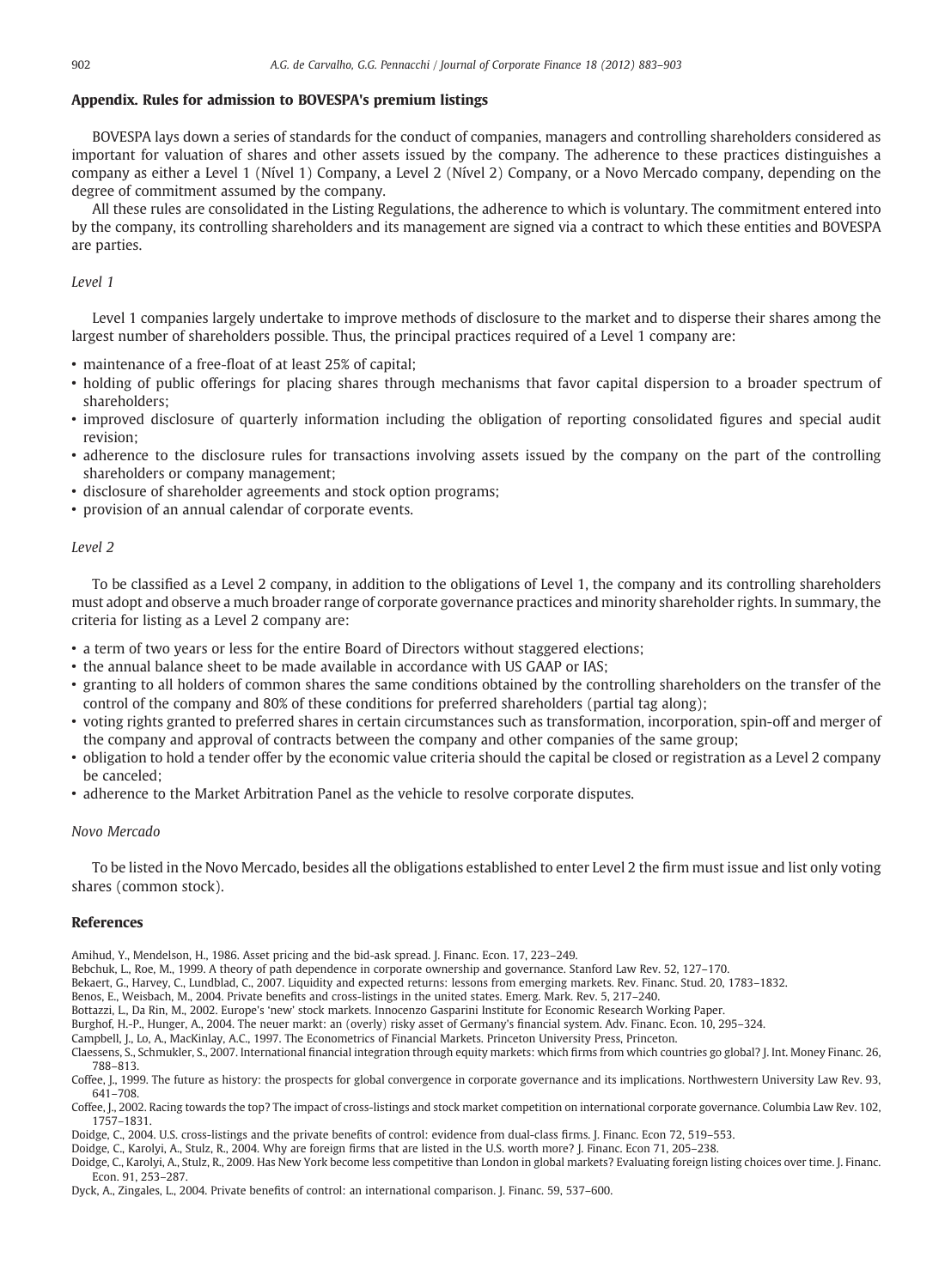# <span id="page-19-0"></span>Appendix. Rules for admission to BOVESPA's premium listings

BOVESPA lays down a series of standards for the conduct of companies, managers and controlling shareholders considered as important for valuation of shares and other assets issued by the company. The adherence to these practices distinguishes a company as either a Level 1 (Nível 1) Company, a Level 2 (Nível 2) Company, or a Novo Mercado company, depending on the degree of commitment assumed by the company.

All these rules are consolidated in the Listing Regulations, the adherence to which is voluntary. The commitment entered into by the company, its controlling shareholders and its management are signed via a contract to which these entities and BOVESPA are parties.

#### Level 1

Level 1 companies largely undertake to improve methods of disclosure to the market and to disperse their shares among the largest number of shareholders possible. Thus, the principal practices required of a Level 1 company are:

- maintenance of a free-float of at least 25% of capital;
- holding of public offerings for placing shares through mechanisms that favor capital dispersion to a broader spectrum of shareholders;
- improved disclosure of quarterly information including the obligation of reporting consolidated figures and special audit revision;
- adherence to the disclosure rules for transactions involving assets issued by the company on the part of the controlling shareholders or company management;
- disclosure of shareholder agreements and stock option programs;
- provision of an annual calendar of corporate events.

#### Level 2

To be classified as a Level 2 company, in addition to the obligations of Level 1, the company and its controlling shareholders must adopt and observe a much broader range of corporate governance practices and minority shareholder rights. In summary, the criteria for listing as a Level 2 company are:

- a term of two years or less for the entire Board of Directors without staggered elections;
- the annual balance sheet to be made available in accordance with US GAAP or IAS;
- granting to all holders of common shares the same conditions obtained by the controlling shareholders on the transfer of the control of the company and 80% of these conditions for preferred shareholders (partial tag along);
- voting rights granted to preferred shares in certain circumstances such as transformation, incorporation, spin-off and merger of the company and approval of contracts between the company and other companies of the same group;
- obligation to hold a tender offer by the economic value criteria should the capital be closed or registration as a Level 2 company be canceled;
- adherence to the Market Arbitration Panel as the vehicle to resolve corporate disputes.

#### Novo Mercado

To be listed in the Novo Mercado, besides all the obligations established to enter Level 2 the firm must issue and list only voting shares (common stock).

#### References

- Amihud, Y., Mendelson, H., 1986. Asset pricing and the bid-ask spread. J. Financ. Econ. 17, 223–249.
- Bebchuk, L., Roe, M., 1999. A theory of path dependence in corporate ownership and governance. Stanford Law Rev. 52, 127–170.
- Bekaert, G., Harvey, C., Lundblad, C., 2007. Liquidity and expected returns: lessons from emerging markets. Rev. Financ. Stud. 20, 1783–1832.
- Benos, E., Weisbach, M., 2004. Private benefits and cross-listings in the united states. Emerg. Mark. Rev. 5, 217–240.

Bottazzi, L., Da Rin, M., 2002. Europe's 'new' stock markets. Innocenzo Gasparini Institute for Economic Research Working Paper.

Burghof, H.-P., Hunger, A., 2004. The neuer markt: an (overly) risky asset of Germany's financial system. Adv. Financ. Econ. 10, 295–324.

Campbell, J., Lo, A., MacKinlay, A.C., 1997. The Econometrics of Financial Markets. Princeton University Press, Princeton.

Claessens, S., Schmukler, S., 2007. International financial integration through equity markets: which firms from which countries go global? J. Int. Money Financ. 26, 788–813.

Coffee, J., 1999. The future as history: the prospects for global convergence in corporate governance and its implications. Northwestern University Law Rev. 93, 641–708.

Coffee, J., 2002. Racing towards the top? The impact of cross-listings and stock market competition on international corporate governance. Columbia Law Rev. 102, 1757–1831.

Doidge, C., 2004. U.S. cross-listings and the private benefits of control: evidence from dual-class firms. J. Financ. Econ 72, 519–553.

Doidge, C., Karolyi, A., Stulz, R., 2004. Why are foreign firms that are listed in the U.S. worth more? J. Financ. Econ 71, 205–238.

Doidge, C., Karolyi, A., Stulz, R., 2009. Has New York become less competitive than London in global markets? Evaluating foreign listing choices over time. J. Financ. Econ. 91, 253–287.

Dyck, A., Zingales, L., 2004. Private benefits of control: an international comparison. J. Financ. 59, 537–600.